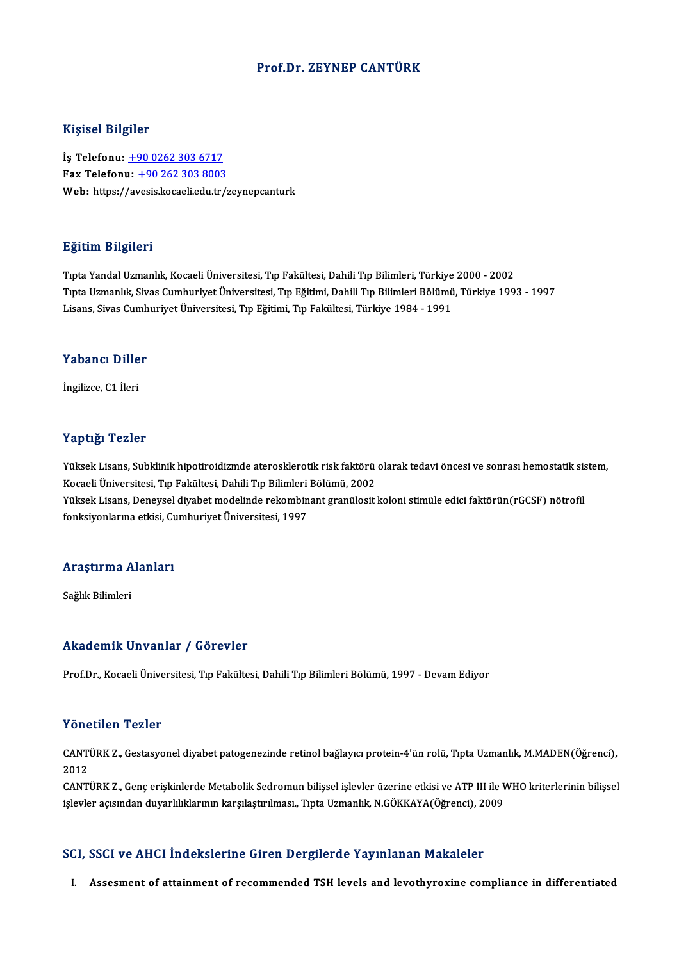## Prof.Dr. ZEYNEP CANTÜRK

### Kişisel Bilgiler

İş Telefonu: +90 0262 303 6717 Fax Telefonu:  $+90,262,303,8003$ Web: https:/[/av](tel:+90 0262 303 6717)[esis.kocaeli.edu.tr/](tel:+90 262 303 8003)zeynepcanturk

### Eğitim Bilgileri

TıptaYandalUzmanlık,KocaeliÜniversitesi,Tıp Fakültesi,DahiliTıpBilimleri,Türkiye 2000 -2002 1914<br>Tıpta Yandal Uzmanlık, Kocaeli Üniversitesi, Tıp Fakültesi, Dahili Tıp Bilimleri, Türkiye 2000 - 2002<br>Tıpta Uzmanlık, Sivas Cumhuriyet Üniversitesi, Tıp Eğitimi, Dahili Tıp Bilimleri Bölümü, Türkiye 1993 - 1997<br>Lisans Tıpta Yandal Uzmanlık, Kocaeli Üniversitesi, Tıp Fakültesi, Dahili Tıp Bilimleri, Türkiye<br>Tıpta Uzmanlık, Sivas Cumhuriyet Üniversitesi, Tıp Eğitimi, Dahili Tıp Bilimleri Bölümü<br>Lisans, Sivas Cumhuriyet Üniversitesi, Tıp E Lisans, Sivas Cumhuriyet Üniversitesi, Tıp Eğitimi, Tıp Fakültesi, Türkiye 1984 - 1991<br>Yabancı Diller

İngilizce,C1 İleri

## Yaptığı Tezler

Yaptığı Tezler<br>Yüksek Lisans, Subklinik hipotiroidizmde aterosklerotik risk faktörü olarak tedavi öncesi ve sonrası hemostatik sistem,<br>Kosaali Üniversitesi Tın Fakültesi, Dabili Tın Bilimleri Bölümü, 2002 Türpesi, Temes<br>Yüksek Lisans, Subklinik hipotiroidizmde aterosklerotik risk faktörü<br>Kocaeli Üniversitesi, Tıp Fakültesi, Dahili Tıp Bilimleri Bölümü, 2002<br>Yüksek Lisans, Danavsel divebet modelinde rekombinant sranülesit Yüksek Lisans, Subklinik hipotiroidizmde aterosklerotik risk faktörü olarak tedavi öncesi ve sonrası hemostatik sis<br>Kocaeli Üniversitesi, Tıp Fakültesi, Dahili Tıp Bilimleri Bölümü, 2002<br>Yüksek Lisans, Deneysel diyabet mod Kocaeli Üniversitesi, Tıp Fakültesi, Dahili Tıp Bilimleri Bölümü, 2002<br>Yüksek Lisans, Deneysel diyabet modelinde rekombinant granülosit koloni stimüle edici faktörün(rGCSF) nötrofil<br>fonksiyonlarına etkisi, Cumhuriyet Ünive

# ıonksiyonlarına etkisi, Ct<br>Araştırma Alanları <mark>Araştırma A</mark><br>Sağlık Bilimleri

# Akademik Unvanlar / Görevler

Prof.Dr., Kocaeli Üniversitesi, Tıp Fakültesi, Dahili Tıp Bilimleri Bölümü, 1997 - Devam Ediyor

### Yönetilen Tezler

Yönetilen Tezler<br>CANTÜRK Z., Gestasyonel diyabet patogenezinde retinol bağlayıcı protein-4'ün rolü, Tıpta Uzmanlık, M.MADEN(Öğrenci),<br>2012  $\begin{array}{lll} \text{CANT} & \text{CANT} & \text{CANT} & \text{CANT} & \text{CANT} & \text{CANT} & \text{CANT} & \text{CANT} & \text{CANT} & \text{CANT} & \text{CANT} & \text{CANT} & \text{CANT} & \text{CANT} & \text{CANT} & \text{CANT} & \text{CANT} & \text{CANT} & \text{CANT} & \text{CANT} & \text{CANT} & \text{CANT} & \text{CANT} & \text{CANT} & \text{CANT} & \text{CANT} & \text{CANT} & \text{CANT} & \text{CANT} & \text{CANT} & \text{$ CANTÜRK Z., Gestasyonel diyabet patogenezinde retinol bağlayıcı protein-4'ün rolü, Tıpta Uzmanlık, M.MADEN(Öğrenci),<br>2012<br>CANTÜRK Z., Genç erişkinlerde Metabolik Sedromun bilişsel işlevler üzerine etkisi ve ATP III ile WHO

2012<br>CANTÜRK Z., Genç erişkinlerde Metabolik Sedromun bilişsel işlevler üzerine etkisi ve ATP III ile WHO kriterlerinin bilişsel<br>işlevler açısından duyarlılıklarının karşılaştırılması., Tıpta Uzmanlık, N.GÖKKAYA(Öğrenci),

## SCI, SSCI ve AHCI İndekslerine Giren Dergilerde Yayınlanan Makaleler

I. Assesment of attainment of recommended TSH levels and levothyroxine compliance in differentiated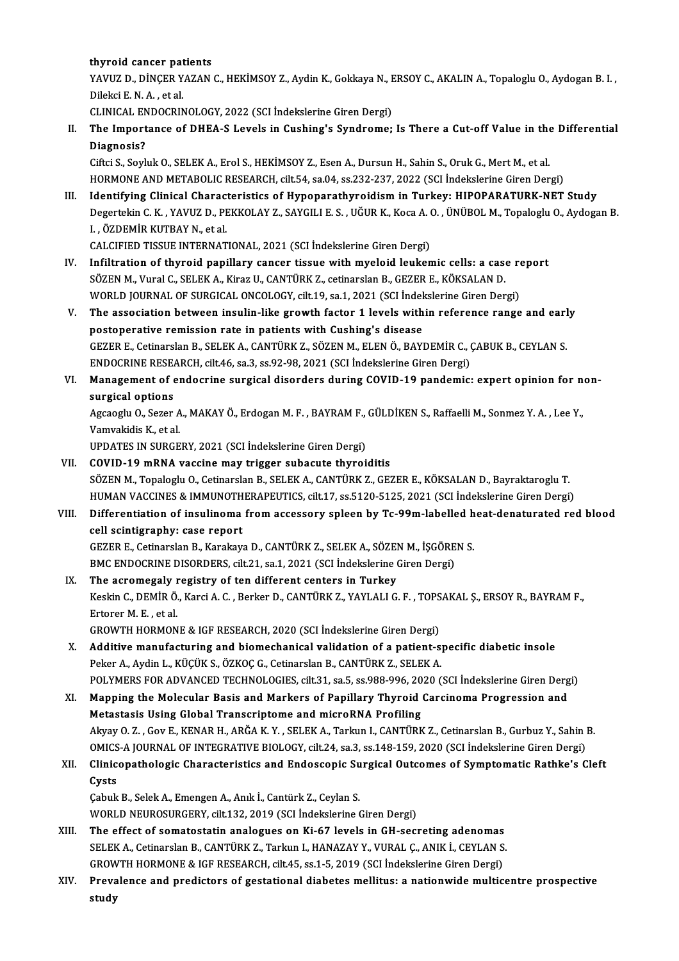## thyroid cancer patients

thyroid cancer patients<br>YAVUZ D., DİNÇER YAZAN C., HEKİMSOY Z., Aydin K., Gokkaya N., ERSOY C., AKALIN A., Topaloglu O., Aydogan B. I.<br>Dilaksi E. N. A., et al thyroid cancer pat<br>YAVUZ D., DİNÇER Y.<br>Dilekci E. N. A. , et al.<br>CLINICAL ENDOCPIN YAVUZ D., DİNÇER YAZAN C., HEKİMSOY Z., Aydin K., Gokkaya N., E<br>Dilekci E. N. A. , et al.<br>CLINICAL ENDOCRINOLOGY, 2022 (SCI İndekslerine Giren Dergi)<br>The Impertance of DHEA S. Levele in Cuching's Sundremay Dilekci E. N. A. , et al.<br>CLINICAL ENDOCRINOLOGY, 2022 (SCI İndekslerine Giren Dergi)<br>II. The Importance of DHEA-S Levels in Cushing's Syndrome; Is There a Cut-off Value in the Differential

Diagnosis? The Importance of DHEA-S Levels in Cushing's Syndrome; Is There a Cut-off Value in the<br>Diagnosis?<br>Ciftci S., Soyluk O., SELEK A., Erol S., HEKİMSOY Z., Esen A., Dursun H., Sahin S., Oruk G., Mert M., et al.<br>HOPMONE AND MET

Di<mark>agnosis?</mark><br>Ciftci S., Soyluk O., SELEK A., Erol S., HEKİMSOY Z., Esen A., Dursun H., Sahin S., Oruk G., Mert M., et al.<br>HORMONE AND METABOLIC RESEARCH, cilt.54, sa.04, ss.232-237, 2022 (SCI İndekslerine Giren Dergi)<br>Iden

HORMONE AND METABOLIC RESEARCH, cilt.54, sa.04, ss.232-237, 2022 (SCI İndekslerine Giren Dergi)<br>III. Identifying Clinical Characteristics of Hypoparathyroidism in Turkey: HIPOPARATURK-NET Study HORMONE AND METABOLIC RESEARCH, cilt.54, sa.04, ss.232-237, 2022 (SCI İndekslerine Giren Dergi)<br>Identifying Clinical Characteristics of Hypoparathyroidism in Turkey: HIPOPARATURK-NET Study<br>Degertekin C. K. , YAVUZ D., PEKK Identifying Clinical Charact<br>Degertekin C. K. , YAVUZ D., PI<br>I. , ÖZDEMİR KUTBAY N., et al.<br>CALCIEIED TISSUE INTERNAT Degertekin C. K. , YAVUZ D., PEKKOLAY Z., SAYGILI E. S. , UĞUR K., Koca A. (<br>I. , ÖZDEMİR KUTBAY N., et al.<br>CALCIFIED TISSUE INTERNATIONAL, 2021 (SCI İndekslerine Giren Dergi)<br>Infiltration of thuraid nanillaru sansan tissu I. , ÖZDEMİR KUTBAY N., et al.<br>CALCIFIED TISSUE INTERNATIONAL, 2021 (SCI İndekslerine Giren Dergi)<br>IV. Infiltration of thyroid papillary cancer tissue with myeloid leukemic cells: a case report

- SÖZEN M., Vural C., SELEK A., Kiraz U., CANTÜRK Z., cetinarslan B., GEZER E., KÖKSALAN D. Infiltration of thyroid papillary cancer tissue with myeloid leukemic cells: a case re<br>SÖZEN M., Vural C., SELEK A., Kiraz U., CANTÜRK Z., cetinarslan B., GEZER E., KÖKSALAN D.<br>WORLD JOURNAL OF SURGICAL ONCOLOGY, cilt.19, SÖZEN M., Vural C., SELEK A., Kiraz U., CANTÜRK Z., cetinarslan B., GEZER E., KÖKSALAN D.<br>WORLD JOURNAL OF SURGICAL ONCOLOGY, cilt.19, sa.1, 2021 (SCI İndekslerine Giren Dergi)<br>V. The association between insulin-like growt
- WORLD JOURNAL OF SURGICAL ONCOLOGY, cilt.19, sa.1, 2021 (SCI Indel<br>The association between insulin-like growth factor 1 levels with<br>postoperative remission rate in patients with Cushing's disease<br>CEZER E. Cotinorson B. SEL The association between insulin-like growth factor 1 levels within reference range and earl<br>postoperative remission rate in patients with Cushing's disease<br>GEZER E., Cetinarslan B., SELEK A., CANTÜRK Z., SÖZEN M., ELEN Ö., postoperative remission rate in patients with Cushing's disease<br>GEZER E., Cetinarslan B., SELEK A., CANTÜRK Z., SÖZEN M., ELEN Ö., BAYDEMİR C., (<br>ENDOCRINE RESEARCH, cilt.46, sa.3, ss.92-98, 2021 (SCI İndekslerine Giren De GEZER E., Cetinarslan B., SELEK A., CANTÜRK Z., SÖZEN M., ELEN Ö., BAYDEMİR C., ÇABUK B., CEYLAN S.<br>ENDOCRINE RESEARCH, cilt.46, sa.3, ss.92-98, 2021 (SCI İndekslerine Giren Dergi)<br>VI. Management of endocrine surgical diso
- ENDOCRINE RESE Management of endocrine surgical disorders during COVID-19 pandemic: expert opinion for n<br>surgical options<br>Agcaoglu O., Sezer A., MAKAY Ö., Erdogan M. F. , BAYRAM F., GÜLDİKEN S., Raffaelli M., Sonmez Y. A. , Lee Y.,<br>Vamya

surgical options<br>Agcaoglu O., Sezer A., MAKAY Ö., Erdogan M. F. , BAYRAM F., GÜLDİKEN S., Raffaelli M., Sonmez Y. A. , Lee Y.,<br>Vamvakidis K., et al.

UPDATES IN SURGERY, 2021 (SCI İndekslerine Giren Dergi)

VII. COVID-19 mRNA vaccine may trigger subacute thyroiditis UPDATES IN SURGERY, 2021 (SCI İndekslerine Giren Dergi)<br>COVID-19 mRNA vaccine may trigger subacute thyroiditis<br>SÖZEN M., Topaloglu O., Cetinarslan B., SELEK A., CANTÜRK Z., GEZER E., KÖKSALAN D., Bayraktaroglu T.<br>HUMAN VAC COVID-19 mRNA vaccine may trigger subacute thyroiditis<br>SÖZEN M., Topaloglu O., Cetinarslan B., SELEK A., CANTÜRK Z., GEZER E., KÖKSALAN D., Bayraktaroglu T.<br>HUMAN VACCINES & IMMUNOTHERAPEUTICS, cilt.17, ss.5120-5125, 2021 SÖZEN M., Topaloglu O., Cetinarslan B., SELEK A., CANTÜRK Z., GEZER E., KÖKSALAN D., Bayraktaroglu T.<br>HUMAN VACCINES & IMMUNOTHERAPEUTICS, cilt.17, ss.5120-5125, 2021 (SCI İndekslerine Giren Dergi)<br>VIII. Differentiatio

HUMAN VACCINES & IMMUNOTHERAPEUTICS, cilt.17, ss.5120-5125, 2021 (SCI İndekslerine Giren Dergi)<br>Differentiation of insulinoma from accessory spleen by Tc-99m-labelled heat-denaturated recell scintigraphy: case report Differentiation of insulinoma from accessory spleen by Tc-99m-labelled h<br>cell scintigraphy: case report<br>GEZER E., Cetinarslan B., Karakaya D., CANTÜRK Z., SELEK A., SÖZEN M., İŞGÖREN S.<br>PMC ENDOCRINE DISORDERS. silt 21, 90 GEZER E., Cetinarslan B., Karakaya D., CANTÜRK Z., SELEK A., SÖZEN M., İŞGÖREN S.<br>BMC ENDOCRINE DISORDERS, cilt.21, sa.1, 2021 (SCI İndekslerine Giren Dergi)

IX. The acromegaly registry of ten different centers in Turkey BMC ENDOCRINE DISORDERS, cilt.21, sa.1, 2021 (SCI İndekslerine Giren Dergi)<br>The acromegaly registry of ten different centers in Turkey<br>Keskin C., DEMİR Ö., Karci A. C. , Berker D., CANTÜRK Z., YAYLALI G. F. , TOPSAKAL Ş., The acromegaly <mark>1</mark><br>Keskin C., DEMİR Ö.<br>Ertorer M. E. , et al.<br>CPOWTH HOPMON Keskin C., DEMİR Ö., Karci A. C. , Berker D., CANTÜRK Z., YAYLALI G. F. , TOPS<br>Ertorer M. E. , et al.<br>GROWTH HORMONE & IGF RESEARCH, 2020 (SCI İndekslerine Giren Dergi)<br>Additive manufasturing and biamasbanisal velidetian a

GROWTH HORMONE & IGF RESEARCH, 2020 (SCI İndekslerine Giren Dergi)

- Ertorer M. E. , et al.<br>GROWTH HORMONE & IGF RESEARCH, 2020 (SCI Indekslerine Giren Dergi)<br>X. Additive manufacturing and biomechanical validation of a patient-specific diabetic insole<br>Peker A., Aydin L., KÜÇÜK S., ÖZKOÇ G., Additive manufacturing and biomechanical validation of a patient-specific diabetic insole<br>Peker A., Aydin L., KÜÇÜK S., ÖZKOÇ G., Cetinarslan B., CANTÜRK Z., SELEK A.<br>POLYMERS FOR ADVANCED TECHNOLOGIES, cilt.31, sa.5, ss.9 Peker A., Aydin L., KÜÇÜK S., ÖZKOÇ G., Cetinarslan B., CANTÜRK Z., SELEK A.<br>POLYMERS FOR ADVANCED TECHNOLOGIES, cilt.31, sa.5, ss.988-996, 2020 (SCI İndekslerine Giren Derg<br>XI. Mapping the Molecular Basis and Markers of P
- POLYMERS FOR ADVANCED TECHNOLOGIES, cilt.31, sa.5, ss.988-996, 20<br>Mapping the Molecular Basis and Markers of Papillary Thyroid<br>Metastasis Using Global Transcriptome and microRNA Profiling<br>Alway O. 7. Cov E. KENAB H. ABČA K Mapping the Molecular Basis and Markers of Papillary Thyroid Carcinoma Progression and<br>Metastasis Using Global Transcriptome and microRNA Profiling<br>Akyay O. Z. , Gov E., KENAR H., ARĞA K.Y. , SELEK A., Tarkun I., CANTÜRK Z Metastasis Using Global Transcriptome and microRNA Profiling<br>Akyay O. Z. , Gov E., KENAR H., ARĞA K. Y. , SELEK A., Tarkun I., CANTÜRK Z., Cetinarslan B., Gurbuz Y., Sahin<br>OMICS-A JOURNAL OF INTEGRATIVE BIOLOGY, cilt.24, s Akyay O. Z. , Gov E., KENAR H., ARĞA K. Y. , SELEK A., Tarkun I., CANTÜRK Z., Cetinarslan B., Gurbuz Y., Sahin B.<br>OMICS-A JOURNAL OF INTEGRATIVE BIOLOGY, cilt.24, sa.3, ss.148-159, 2020 (SCI İndekslerine Giren Dergi)<br>XII.

# OMICS-A JOURNAL OF INTEGRATIVE BIOLOGY, cilt.24, sa.3, ss.148-159, 2020 (SCI İndekslerine Giren Dergi)<br>Clinicopathologic Characteristics and Endoscopic Surgical Outcomes of Symptomatic Rathke's C<br>Cysts<br>Cabuk B., Selek A., Clinicopathologic Characteristics and Endoscopic Su<br>Cysts<br>Çabuk B., Selek A., Emengen A., Anık İ., Cantürk Z., Ceylan S.<br>WORLD NEUROSURGERY silt 122, 2019 (SCL İndekslerine (

WORLD NEUROSURGERY, cilt.132, 2019 (SCI İndekslerine Giren Dergi) Cabuk B., Selek A., Emengen A., Anık İ., Cantürk Z., Ceylan S.<br>WORLD NEUROSURGERY, cilt.132, 2019 (SCI İndekslerine Giren Dergi)<br>XIII. The effect of somatostatin analogues on Ki-67 levels in GH-secreting adenomas<br>SELEK

- SELEK A., Cetinarslan B., CANTÜRK Z., Tarkun I., HANAZAY Y., VURAL C., ANIK İ., CEYLAN S. The effect of somatostatin analogues on Ki-67 levels in GH-secreting adenomas<br>SELEK A., Cetinarslan B., CANTÜRK Z., Tarkun I., HANAZAY Y., VURAL Ç., ANIK İ., CEYLAN S<br>GROWTH HORMONE & IGF RESEARCH, cilt.45, ss.1-5, 2019 (S GROWTH HORMONE & IGF RESEARCH, cilt.45, ss.1-5, 2019 (SCI Indekslerine Giren Dergi)
- XIV. Prevalence and predictors of gestational diabetes mellitus: a nationwide multicentre prospective<br>study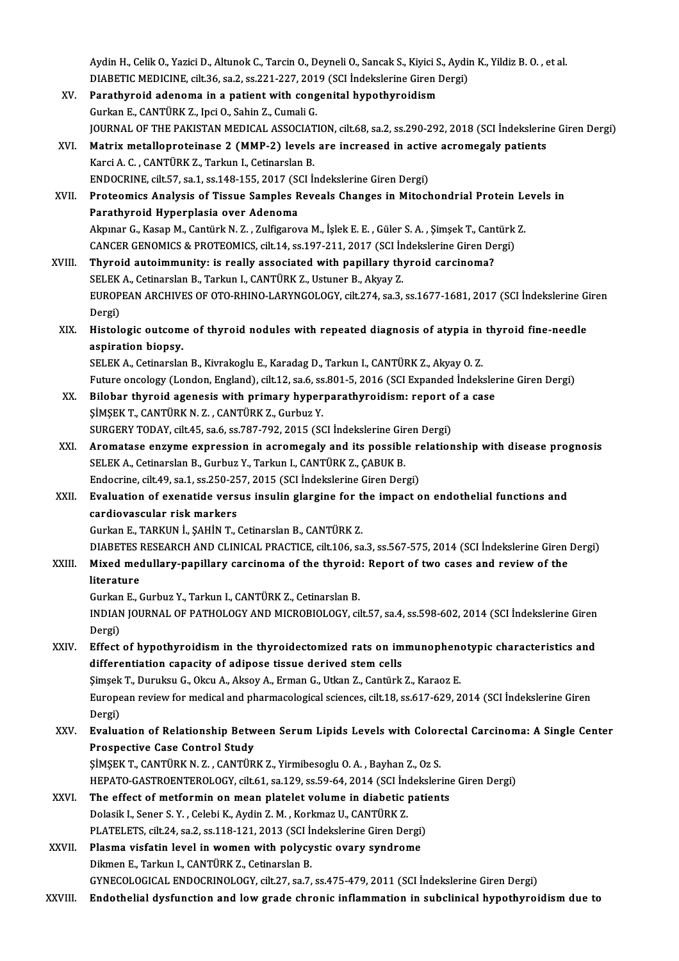Aydin H., Celik O., Yazici D., Altunok C., Tarcin O., Deyneli O., Sancak S., Kiyici S., Aydin K., Yildiz B. O.<br>DIABETIC MEDICINE, silt 26, 89, 2, 89, 221, 227, 2019 (SCL Indekslerine Giren Dergi) Aydin H., Celik O., Yazici D., Altunok C., Tarcin O., Deyneli O., Sancak S., Kiyici S., Aydi<br>DIABETIC MEDICINE, cilt.36, sa.2, ss.221-227, 2019 (SCI İndekslerine Giren Dergi)<br>Panathunaid adapama in a patiant with sanganita Aydin H., Celik O., Yazici D., Altunok C., Tarcin O., Deyneli O., Sancak S., Kiyici S<br>DIABETIC MEDICINE, cilt.36, sa.2, ss.221-227, 2019 (SCI İndekslerine Giren I<br>XV. Parathyroid adenoma in a patient with congenital hypoth

- DIABETIC MEDICINE, cilt.36, sa.2, ss.221-227, 2019 (SCI Indekslerine Giren Dergi)<br>XV. Parathyroid adenoma in a patient with congenital hypothyroidism<br>Gurkan E., CANTÜRK Z., Ipci O., Sahin Z., Cumali G. JOURNAL OF THE PAKISTAN MEDICAL ASSOCIATION, cilt.68, sa.2, ss.290-292, 2018 (SCI İndekslerine Giren Dergi) Gurkan E., CANTÜRK Z., Ipci O., Sahin Z., Cumali G.<br>JOURNAL OF THE PAKISTAN MEDICAL ASSOCIATION, cilt.68, sa.2, ss.290-292, 2018 (SCI İndekslerin<br>XVI. Matrix metalloproteinase 2 (MMP-2) levels are increased in active acrom
- Karci A. C. , CANTÜRK Z., Tarkun I., Cetinarslan B.<br>ENDOCRINE, cilt.57, sa.1, ss.148-155, 2017 (SCI İndekslerine Giren Dergi) Matrix metalloproteinase 2 (MMP-2) levels are increased in activ<br>Karci A. C., CANTÜRK Z., Tarkun I., Cetinarslan B.<br>ENDOCRINE, cilt.57, sa.1, ss.148-155, 2017 (SCI İndekslerine Giren Dergi)<br>Proteomiss Analysis of Tissue Sa Karci A. C. , CANTÜRK Z., Tarkun I., Cetinarslan B.<br>ENDOCRINE, cilt.57, sa.1, ss.148-155, 2017 (SCI İndekslerine Giren Dergi)<br>XVII. Proteomics Analysis of Tissue Samples Reveals Changes in Mitochondrial Protein Levels in

ENDOCRINE, cilt.57, sa.1, ss.148-155, 2017 (SC<br>Proteomics Analysis of Tissue Samples R<br>Parathyroid Hyperplasia over Adenoma<br>Almnar G. Kasan M. Cantürk N. 7 - Zulfizares Proteomics Analysis of Tissue Samples Reveals Changes in Mitochondrial Protein Le<br>Parathyroid Hyperplasia over Adenoma<br>Akpınar G., Kasap M., Cantürk N. Z. , Zulfigarova M., İşlek E. E. , Güler S. A. , Şimşek T., Cantürk Z. Parathyroid Hyperplasia over Adenoma<br>Akpınar G., Kasap M., Cantürk N. Z. , Zulfigarova M., İşlek E. E. , Güler S. A. , Şimşek T., Cantürk Z.<br>CANCER GENOMICS & PROTEOMICS, cilt.14, ss.197-211, 2017 (SCI İndekslerine Giren D Akpınar G., Kasap M., Cantürk N. Z., Zulfigarova M., İşlek E. E., Güler S. A., Şimşek T., Cant<br>CANCER GENOMICS & PROTEOMICS, cilt.14, ss.197-211, 2017 (SCI İndekslerine Giren De<br>XVIII. Thyroid autoimmunity: is really assoc

- CANCER GENOMICS & PROTEOMICS, cilt.14, ss.197-211, 2017 (SCI in<br>Thyroid autoimmunity: is really associated with papillary th<br>SELEK A., Cetinarslan B., Tarkun I., CANTÜRK Z., Ustuner B., Akyay Z.<br>FUROPEAN ARCHIVES OF OTO PH Thyroid autoimmunity: is really associated with papillary thyroid carcinoma?<br>SELEK A., Cetinarslan B., Tarkun I., CANTÜRK Z., Ustuner B., Akyay Z.<br>EUROPEAN ARCHIVES OF OTO-RHINO-LARYNGOLOGY, cilt.274, sa.3, ss.1677-1681, 2 SELEK<br>EUROP<br>Dergi)<br>Histole EUROPEAN ARCHIVES OF OTO-RHINO-LARYNGOLOGY, cilt.274, sa.3, ss.1677-1681, 2017 (SCI İndekslerine G<br>Dergi)<br>XIX. Histologic outcome of thyroid nodules with repeated diagnosis of atypia in thyroid fine-needle<br>examination bion
- Dergi)<br>Histologic outcom<br>aspiration biopsy.<br>SELEMA Cetinarela Histologic outcome of thyroid nodules with repeated diagnosis of atypia in<br>aspiration biopsy.<br>SELEK A., Cetinarslan B., Kivrakoglu E., Karadag D., Tarkun I., CANTÜRK Z., Akyay O. Z.<br>Euture ongelegy (London England), silt 1

aspiration biopsy.<br>SELEK A., Cetinarslan B., Kivrakoglu E., Karadag D., Tarkun I., CANTÜRK Z., Akyay O. Z.<br>Future oncology (London, England), cilt.12, sa.6, ss.801-5, 2016 (SCI Expanded İndekslerine Giren Dergi)<br>Bilabar th SELEK A., Cetinarslan B., Kivrakoglu E., Karadag D., Tarkun I., CANTÜRK Z., Akyay O. Z.<br>Future oncology (London, England), cilt.12, sa.6, ss.801-5, 2016 (SCI Expanded Indekslei<br>XX. Bilobar thyroid agenesis with primary hyp

- Future oncology (London, England), cilt.12, sa.6, ss<br>Bilobar thyroid agenesis with primary hyper<br>ŞİMŞEK T., CANTÜRK N. Z. , CANTÜRK Z., Gurbuz Y.<br>SURCERY TODAY, silt.45, sa.6, ss.797, 792, 2015 (SC Bilobar thyroid agenesis with primary hyperparathyroidism: report of a case<br>SIMSEK T., CANTÜRK N. Z., CANTÜRK Z., Gurbuz Y.<br>SURGERY TODAY, cilt.45, sa.6, ss.787-792, 2015 (SCI İndekslerine Giren Dergi)
- XXI. Aromatase enzyme expression in acromegaly and its possible relationship with disease prognosis SURGERY TODAY, cilt.45, sa.6, ss.787-792, 2015 (SCI İndekslerine Gir<br>Aromatase enzyme expression in acromegaly and its possible<br>SELEK A., Cetinarslan B., Gurbuz Y., Tarkun I., CANTÜRK Z., ÇABUK B.<br>Endecrine silt.49, sa.1, Aromatase enzyme expression in acromegaly and its possible reflections.<br>SELEK A., Cetinarslan B., Gurbuz Y., Tarkun I., CANTÜRK Z., ÇABUK B.<br>Endocrine, cilt.49, sa.1, ss.250-257, 2015 (SCI İndekslerine Giren Dergi)<br>Evaluat Endocrine, cilt.49, sa.1, ss.250-257, 2015 (SCI İndekslerine Giren Dergi)

## XXII. Evaluation of exenatide versus insulin glargine for the impact on endothelial functions and<br>cardiovascular risk markers Gurkan E., TARKUN İ., ŞAHİN T., Cetinarslan B., CANTÜRK Z. cardiovascular risk markers<br>Gurkan E., TARKUN İ., ŞAHİN T., Cetinarslan B., CANTÜRK Z.<br>DIABETES RESEARCH AND CLINICAL PRACTICE, cilt.106, sa.3, ss.567-575, 2014 (SCI İndekslerine Giren Dergi)<br>Miyod modulları: popilları: sa

Gurkan E., TARKUN İ., ŞAHİN T., Cetinarslan B., CANTÜRK Z.<br>DIABETES RESEARCH AND CLINICAL PRACTICE, cilt.106, sa.3, ss.567-575, 2014 (SCI İndekslerine Giren<br>XXIII. Mixed medullary-papillary carcinoma of the thyroid: Report DIABETES<br>Mixed med<br>literature<br>Curken E

Mixed medullary-papillary carcinoma of the thyroid<br>literature<br>Gurkan E., Gurbuz Y., Tarkun I., CANTÜRK Z., Cetinarslan B.<br>INDIAN JOUPNAL OF PATHOLOCY AND MICROPIOLOCY sil

literature<br>Gurkan E., Gurbuz Y., Tarkun I., CANTÜRK Z., Cetinarslan B.<br>INDIAN JOURNAL OF PATHOLOGY AND MICROBIOLOGY, cilt.57, sa.4, ss.598-602, 2014 (SCI İndekslerine Giren Gurkan E., Gurbuz Y., Tarkun I., CANTÜRK Z., Cetinarslan B.<br>INDIAN JOURNAL OF PATHOLOGY AND MICROBIOLOGY, cil<br>Dergi) INDIAN JOURNAL OF PATHOLOGY AND MICROBIOLOGY, cilt.57, sa.4, ss.598-602, 2014 (SCI Indekslerine Giren<br>Dergi)<br>XXIV. Effect of hypothyroidism in the thyroidectomized rats on immunophenotypic characteristics and<br>differentiati

# Effect of hypothyroidism in the thyroidectomized rats on immunophenotypic characteristics and<br>differentiation capacity of adipose tissue derived stem cells Effect of hypothyroidism in the thyroidectomized rats on immunophene<br>differentiation capacity of adipose tissue derived stem cells<br>Şimşek T., Duruksu G., Okcu A., Aksoy A., Erman G., Utkan Z., Cantürk Z., Karaoz E.<br>Europea

European review for medical and pharmacological sciences, cilt.18, ss.617-629, 2014 (SCI İndekslerine Giren<br>Dergi) Şimşek<br>Europe<br>Dergi)<br>Evolua European review for medical and pharmacological sciences, cilt.18, ss.617-629, 2014 (SCI İndekslerine Giren<br>Dergi)<br>XXV. Evaluation of Relationship Between Serum Lipids Levels with Colorectal Carcinoma: A Single Center<br>Pros

# Dergi)<br>Evaluation of Relationship Betw<br>Prospective Case Control Study<br>SiMSEK T. CANTÜRKN 7 - CANTÜR Evaluation of Relationship Between Serum Lipids Levels with Color<br>Prospective Case Control Study<br>ŞİMŞEK T., CANTÜRK N. Z. , CANTÜRK Z., Yirmibesoglu O. A. , Bayhan Z., Oz S.<br>HERATO CASTROENTEROLOCY, silt 61, sa 129, ss 59,

Prospective Case Control Study<br>ŞİMŞEK T., CANTÜRK N. Z. , CANTÜRK Z., Yirmibesoglu O. A. , Bayhan Z., Oz S.<br>HEPATO-GASTROENTEROLOGY, cilt.61, sa.129, ss.59-64, 2014 (SCI İndekslerine Giren Dergi)<br>The effect of metformin on SIMSEK T., CANTÜRK N. Z., CANTÜRK Z., Yirmibesoglu O. A., Bayhan Z., Oz S.<br>HEPATO-GASTROENTEROLOGY, cilt.61, sa.129, ss.59-64, 2014 (SCI Indekslering<br>XXVI. The effect of metformin on mean platelet volume in diabetic patien

HEPATO-GASTROENTEROLOGY, cilt.61, sa.129, ss.59-64, 2014 (SCI Inc<br>The effect of metformin on mean platelet volume in diabetic<br>Dolasik I., Sener S.Y. , Celebi K., Aydin Z.M. , Korkmaz U., CANTÜRK Z.<br>PLATELETS, silt 24, sp.2 The effect of metformin on mean platelet volume in diabetic patients<br>Dolasik I., Sener S. Y., Celebi K., Aydin Z. M., Korkmaz U., CANTÜRK Z.<br>PLATELETS, cilt.24, sa.2, ss.118-121, 2013 (SCI İndekslerine Giren Dergi) Dolasik I., Sener S. Y. , Celebi K., Aydin Z. M. , Korkmaz U., CANTÜRK Z.<br>PLATELETS, cilt.24, sa.2, ss.118-121, 2013 (SCI İndekslerine Giren Dergi)<br>XXVII. Plasma visfatin level in women with polycystic ovary syndrome<br>Dilmo

PLATELETS, cilt.24, sa.2, ss.118-121, 2013 (SCI İn<br>Plasma visfatin level in women with polycy<br>Dikmen E., Tarkun I., CANTÜRK Z., Cetinarslan B.<br>CYNECOLOGICAL ENDOCRINOLOGY, silt.27, sa.7. Dikmen E., Tarkun I., CANTÜRK Z., Cetinarslan B.<br>GYNECOLOGICAL ENDOCRINOLOGY, cilt.27, sa.7, ss.475-479, 2011 (SCI İndekslerine Giren Dergi)

XXVIII. Endothelial dysfunction and low grade chronic inflammation in subclinical hypothyroidism due to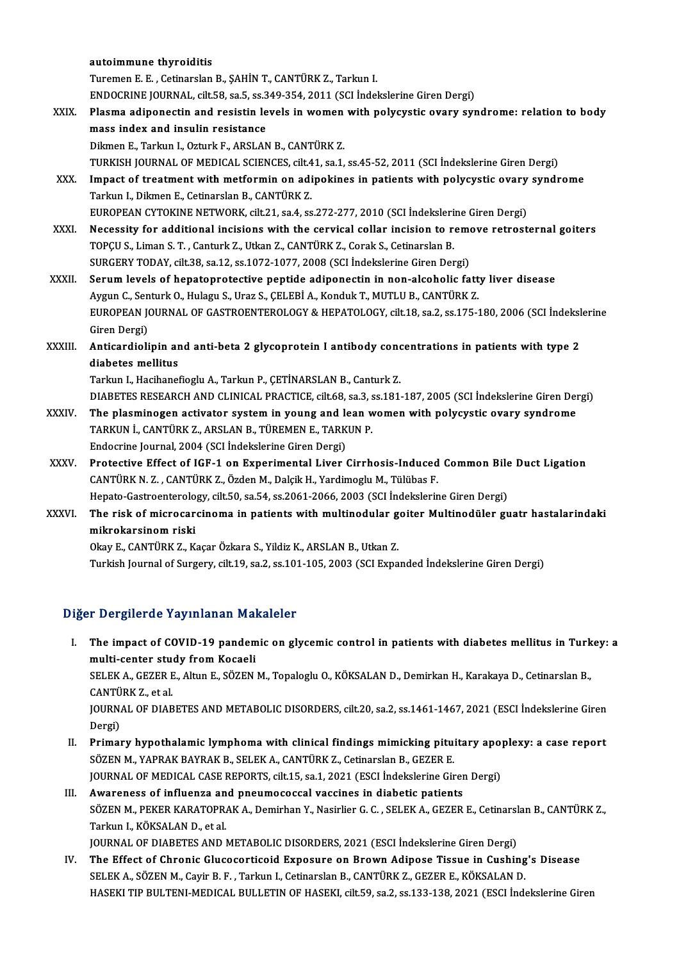|              | autoimmune thyroiditis                                                                                  |
|--------------|---------------------------------------------------------------------------------------------------------|
|              | Turemen E. E., Cetinarslan B., SAHİN T., CANTÜRK Z., Tarkun I.                                          |
|              | ENDOCRINE JOURNAL, cilt 58, sa.5, ss.349-354, 2011 (SCI Indekslerine Giren Dergi)                       |
| XXIX.        | Plasma adiponectin and resistin levels in women with polycystic ovary syndrome: relation to body        |
|              | mass index and insulin resistance                                                                       |
|              | Dikmen E., Tarkun I., Ozturk F., ARSLAN B., CANTÜRK Z.                                                  |
|              | TURKISH JOURNAL OF MEDICAL SCIENCES, cilt.41, sa.1, ss.45-52, 2011 (SCI İndekslerine Giren Dergi)       |
| XXX.         | Impact of treatment with metformin on adipokines in patients with polycystic ovary syndrome             |
|              | Tarkun I., Dikmen E., Cetinarslan B., CANTÜRK Z.                                                        |
|              | EUROPEAN CYTOKINE NETWORK, cilt.21, sa.4, ss.272-277, 2010 (SCI İndekslerine Giren Dergi)               |
| XXXI.        | Necessity for additional incisions with the cervical collar incision to remove retrosternal goiters     |
|              | TOPÇU S., Liman S. T., Canturk Z., Utkan Z., CANTÜRK Z., Corak S., Cetinarslan B.                       |
|              | SURGERY TODAY, cilt.38, sa.12, ss.1072-1077, 2008 (SCI Indekslerine Giren Dergi)                        |
| <b>XXXII</b> | Serum levels of hepatoprotective peptide adiponectin in non-alcoholic fatty liver disease               |
|              | Aygun C., Senturk O., Hulagu S., Uraz S., CELEBİ A., Konduk T., MUTLU B., CANTÜRK Z.                    |
|              | EUROPEAN JOURNAL OF GASTROENTEROLOGY & HEPATOLOGY, cilt.18, sa.2, ss.175-180, 2006 (SCI Indekslerine    |
|              | Giren Dergi)                                                                                            |
| XXXIII.      | Anticardiolipin and anti-beta 2 glycoprotein I antibody concentrations in patients with type 2          |
|              | diabetes mellitus                                                                                       |
|              | Tarkun I., Hacihanefioglu A., Tarkun P., ÇETİNARSLAN B., Canturk Z.                                     |
|              | DIABETES RESEARCH AND CLINICAL PRACTICE, cilt.68, sa.3, ss.181-187, 2005 (SCI İndekslerine Giren Dergi) |
| XXXIV.       | The plasminogen activator system in young and lean women with polycystic ovary syndrome                 |
|              | TARKUN İ., CANTÜRK Z., ARSLAN B., TÜREMEN E., TARKUN P.                                                 |
|              | Endocrine Journal, 2004 (SCI İndekslerine Giren Dergi)                                                  |
| XXXV.        | Protective Effect of IGF-1 on Experimental Liver Cirrhosis-Induced Common Bile Duct Ligation            |
|              | CANTÜRK N. Z., CANTÜRK Z., Özden M., Dalçik H., Yardimoglu M., Tülübas F.                               |
|              | Hepato-Gastroenterology, cilt.50, sa.54, ss.2061-2066, 2003 (SCI İndekslerine Giren Dergi)              |
| XXXVI.       | The risk of microcarcinoma in patients with multinodular goiter Multinodüler guatr hastalarindaki       |
|              | mikrokarsinom riski                                                                                     |
|              | Okay E., CANTÜRK Z., Kaçar Özkara S., Yildiz K., ARSLAN B., Utkan Z.                                    |
|              | Turkish Journal of Surgery, cilt.19, sa.2, ss.101-105, 2003 (SCI Expanded İndekslerine Giren Dergi)     |

## Diğer Dergilerde Yayınlanan Makaleler

- Iger Dergilerde Yayınlanan Makaleler<br>I. The impact of COVID-19 pandemic on glycemic control in patients with diabetes mellitus in Turkey: a<br>multi conter study from Kospeli multi-center study from the mediator of COVID-19 pandem<br>multi-center study from Kocaeli<br>SELEMA CEZERE Alture SÖZEN The impact of COVID-19 pandemic on glycemic control in patients with diabetes mellitus in Turk<br>multi-center study from Kocaeli<br>SELEK A., GEZER E., Altun E., SÖZEN M., Topaloglu O., KÖKSALAN D., Demirkan H., Karakaya D., Ce multi-center study from Kocaeli<br>SELEK A., GEZER E., Altun E., SÖZEN M., Topaloglu O., KÖKSALAN D., Demirkan H., Karakaya D., Cetinarslan B.,<br>CANTÜRK Z., et al. SELEK A., GEZER E., Altun E., SÖZEN M., Topaloglu O., KÖKSALAN D., Demirkan H., Karakaya D., Cetinarslan B.,<br>CANTÜRK Z., et al.<br>JOURNAL OF DIABETES AND METABOLIC DISORDERS, cilt.20, sa.2, ss.1461-1467, 2021 (ESCI İndeksler CANTÜ<br>JOURN<br>Dergi)<br>Primal I . JOURNAL OF DIABETES AND METABOLIC DISORDERS, cilt.20, sa.2, ss.1461-1467, 2021 (ESCI Indekslerine Giren<br>Dergi)<br>II. Primary hypothalamic lymphoma with clinical findings mimicking pituitary apoplexy: a case report<br>SÖZEN
- Dergi)<br><mark>Primary hypothalamic lymphoma with clinical findings mimicking pitu</mark><br>SÖZEN M., YAPRAK BAYRAK B., SELEK A., CANTÜRK Z., Cetinarslan B., GEZER E.<br>JOUPMAL OF MEDICAL CASE PEPOPTS, silt 15, sa 1, 2021 (ESCL Indekslerin Primary hypothalamic lymphoma with clinical findings mimicking pituitary apop<br>SÖZEN M., YAPRAK BAYRAK B., SELEK A., CANTÜRK Z., Cetinarslan B., GEZER E.<br>JOURNAL OF MEDICAL CASE REPORTS, cilt.15, sa.1, 2021 (ESCI İndeksleri SÖZEN M., YAPRAK BAYRAK B., SELEK A., CANTÜRK Z., Cetinarslan B., GEZER E.<br>JOURNAL OF MEDICAL CASE REPORTS, cilt.15, sa.1, 2021 (ESCI İndekslerine Giren Dergi)<br>III. Awareness of influenza and pneumococcal vaccines in d
- JOURNAL OF MEDICAL CASE REPORTS, cilt.15, sa.1, 2021 (ESCI İndekslerine Giren Dergi)<br><mark>Awareness of influenza and pneumococcal vaccines in diabetic patients</mark><br>SÖZEN M., PEKER KARATOPRAK A., Demirhan Y., Nasirlier G. C. , SEL Awareness of influenza an<br>SÖZEN M., PEKER KARATOPR.<br>Tarkun I., KÖKSALAN D., et al.<br>JOUPNAL OF DIAPETES AND I SÖZEN M., PEKER KARATOPRAK A., Demirhan Y., Nasirlier G. C. , SELEK A., GEZER E., Cetinarsl<br>Tarkun I., KÖKSALAN D., et al.<br>JOURNAL OF DIABETES AND METABOLIC DISORDERS, 2021 (ESCI İndekslerine Giren Dergi)<br>The Effect of Chr Tarkun I., KÖKSALAN D., et al.<br>JOURNAL OF DIABETES AND METABOLIC DISORDERS, 2021 (ESCI İndekslerine Giren Dergi)<br>IV. The Effect of Chronic Glucocorticoid Exposure on Brown Adipose Tissue in Cushing's Disease

SELEK A., SÖZEN M., Cayir B. F., Tarkun I., Cetinarslan B., CANTÜRK Z., GEZER E., KÖKSALAN D. HASEKI TIP BULTENI-MEDICAL BULLETIN OF HASEKI, cilt.59, sa.2, ss.133-138, 2021 (ESCI İndekslerine Giren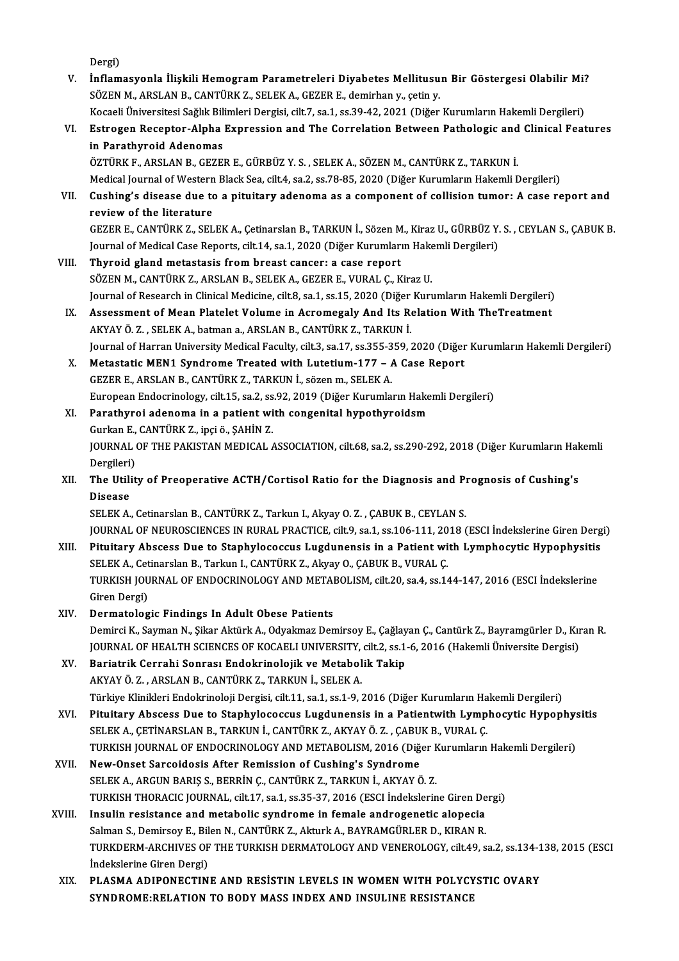Dergi)

Dergi)<br>V. İnflamasyonla İlişkili Hemogram Parametreleri Diyabetes Mellitusun Bir Göstergesi Olabilir Mi?<br>SÖZEN M. ARSLAN B. CANTÜRK 7, SELEK A. GEZER E. damirban v. setin v. Dergi)<br>İnflamasyonla İlişkili Hemogram Parametreleri Diyabetes Mellitusu<br>SÖZEN M., ARSLAN B., CANTÜRK Z., SELEK A., GEZER E., demirhan y., çetin y.<br>Kosaali Üniversitesi Seğlik Bilimleri Dergisi, silt 7, sa.1, ss.39,42,2021 İnflamasyonla İlişkili Hemogram Parametreleri Diyabetes Mellitusun Bir Göstergesi Olabilir Mi?<br>SÖZEN M., ARSLAN B., CANTÜRK Z., SELEK A., GEZER E., demirhan y., çetin y.<br>Kocaeli Üniversitesi Sağlık Bilimleri Dergisi, cilt. SÖZEN M., ARSLAN B., CANTÜRK Z., SELEK A., GEZER E., demirhan y., çetin y.<br>Kocaeli Üniversitesi Sağlık Bilimleri Dergisi, cilt.7, sa.1, ss.39-42, 2021 (Diğer Kurumların Hakemli Dergileri)<br>VI. Estrogen Receptor-Alpha Expres Kocaeli Üniversitesi Sağlık Bilimleri Dergisi, cilt.7, sa.1, ss.39-42, 2021 (Diğer Kurumların Hakemli Dergileri) ÖZTÜRKF.,ARSLANB.,GEZERE.,GÜRBÜZ Y.S. ,SELEKA.,SÖZENM.,CANTÜRKZ.,TARKUNİ. Medical Journal of Western Black Sea, cilt.4, sa.2, ss.78-85, 2020 (Diğer Kurumların Hakemli Dergileri) VII. Cushing's disease due to a pituitary adenoma as a component of collision tumor: A case report and reviewof the literature Cushing's disease due to a pituitary adenoma as a component of collision tumor: A case report and<br>review of the literature<br>GEZER E., CANTÜRK Z., SELEK A., Çetinarslan B., TARKUN İ., Sözen M., Kiraz U., GÜRBÜZ Y. S. , CEYLA review of the literature<br>GEZER E., CANTÜRK Z., SELEK A., Çetinarslan B., TARKUN İ., Sözen M., Kiraz U., GÜRBÜZ Y.<br>Journal of Medical Case Reports, cilt.14, sa.1, 2020 (Diğer Kurumların Hakemli Dergileri)<br>Thyroid gland mete GEZER E., CANTÜRK Z., SELEK A., Çetinarslan B., TARKUN İ., Sözen M<br>Journal of Medical Case Reports, cilt.14, sa.1, 2020 (Diğer Kurumları<br>VIII. Thyroid gland metastasis from breast cancer: a case report<br>SÖZEN M. CANTÜRK Z. Journal of Medical Case Reports, cilt.14, sa.1, 2020 (Diğer Kurumların Hakemli Dergileri)<br>Thyroid gland metastasis from breast cancer: a case report<br>SÖZEN M., CANTÜRK Z., ARSLAN B., SELEK A., GEZER E., VURAL Ç., Kiraz U. Thyroid gland metastasis from breast cancer: a case report<br>SÖZEN M., CANTÜRK Z., ARSLAN B., SELEK A., GEZER E., VURAL Ç., Kiraz U.<br>Journal of Research in Clinical Medicine, cilt.8, sa.1, ss.15, 2020 (Diğer Kurumların Hakem SÖZEN M., CANTÜRK Z., ARSLAN B., SELEK A., GEZER E., VURAL Ç., Kiraz U.<br>Journal of Research in Clinical Medicine, cilt.8, sa.1, ss.15, 2020 (Diğer Kurumların Hakemli Dergileri)<br>IX. Assessment of Mean Platelet Volume in Acr Journal of Research in Clinical Medicine, cilt.8, sa.1, ss.15, 2020 (Diğer<br>Assessment of Mean Platelet Volume in Acromegaly And Its Re<br>AKYAY Ö. Z. , SELEK A., batman a., ARSLAN B., CANTÜRK Z., TARKUN İ.<br>Journal of Harran U IX. Assessment of Mean Platelet Volume in Acromegaly And Its Relation With TheTreatment<br>AKYAY Ö. Z. , SELEK A., batman a., ARSLAN B., CANTÜRK Z., TARKUN İ.<br>Journal of Harran University Medical Faculty, cilt.3, sa.17, ss.35 X. Metastatic MEN1 Syndrome Treated with Lutetium-177 - A Case Report GEZERE.,ARSLANB.,CANTÜRKZ.,TARKUNİ., sözenm.,SELEKA. Metastatic MEN1 Syndrome Treated with Lutetium-177 – A Case Report<br>GEZER E., ARSLAN B., CANTÜRK Z., TARKUN İ., sözen m., SELEK A.<br>European Endocrinology, cilt.15, sa.2, ss.92, 2019 (Diğer Kurumların Hakemli Dergileri)<br>Para XI. Parathyroi adenoma in a patient with congenital hypothyroidsm<br>Gurkan E., CANTÜRK Z., ipçi ö., ŞAHİN Z. European Endocrinology, cilt.15, sa.2, ss<br>Parathyroi adenoma in a patient wi<br>Gurkan E., CANTÜRK Z., ipçi ö., ŞAHİN Z.<br>JOUPNAL OF THE PAKISTAN MEDICAL Parathyroi adenoma in a patient with congenital hypothyroidsm<br>Gurkan E., CANTÜRK Z., ipçi ö., ŞAHİN Z.<br>JOURNAL OF THE PAKISTAN MEDICAL ASSOCIATION, cilt.68, sa.2, ss.290-292, 2018 (Diğer Kurumların Hakemli<br>Persileri) Gurkan E.,<br>JOURNAL<br>Dergileri)<br>The Utilit JOURNAL OF THE PAKISTAN MEDICAL ASSOCIATION, cilt.68, sa.2, ss.290-292, 2018 (Diğer Kurumların Hak<br>Dergileri)<br>XII. The Utility of Preoperative ACTH/Cortisol Ratio for the Diagnosis and Prognosis of Cushing's<br>Disease Dergileri)<br><mark>The Utili</mark><br>Disease<br>SELEK A The Utility of Preoperative ACTH/Cortisol Ratio for the Diagnosis and Pi<br>Disease<br>SELEK A., Cetinarslan B., CANTÜRK Z., Tarkun I., Akyay O. Z. , ÇABUK B., CEYLAN S.<br>JOUPMAL OF NEUPOSCIENCES IN PURAL PRACTICE sitt 9, ss 1, s Disease<br>SELEK A., Cetinarslan B., CANTÜRK Z., Tarkun I., Akyay O. Z. , ÇABUK B., CEYLAN S.<br>JOURNAL OF NEUROSCIENCES IN RURAL PRACTICE, cilt.9, sa.1, ss.106-111, 2018 (ESCI İndekslerine Giren Dergi)<br>Bitultary Abssess Due to SELEK A., Cetinarslan B., CANTÜRK Z., Tarkun I., Akyay O. Z. , ÇABUK B., CEYLAN S.<br>JOURNAL OF NEUROSCIENCES IN RURAL PRACTICE, cilt.9, sa.1, ss.106-111, 2018 (ESCI İndekslerine Giren Derg<br>XIII. Pituitary Abscess Due to Sta JOURNAL OF NEUROSCIENCES IN RURAL PRACTICE, cilt.9, sa.1, ss.106-111, 20<br>Pituitary Abscess Due to Staphylococcus Lugdunensis in a Patient wi<br>SELEK A., Cetinarslan B., Tarkun I., CANTÜRK Z., Akyay O., ÇABUK B., VURAL Ç.<br>TUR Pituitary Abscess Due to Staphylococcus Lugdunensis in a Patient with Lymphocytic Hypophysitis<br>SELEK A., Cetinarslan B., Tarkun I., CANTÜRK Z., Akyay O., ÇABUK B., VURAL Ç.<br>TURKISH JOURNAL OF ENDOCRINOLOGY AND METABOLISM, SELEK A., Cet<br>TURKISH JOU<br>Giren Dergi)<br>Dermateleg TURKISH JOURNAL OF ENDOCRINOLOGY AND METAI<br>Giren Dergi)<br>XIV. Dermatologic Findings In Adult Obese Patients<br>Deminsi K. Sauman N. Silan Altürk A. Odvalmag Den Giren Dergi)<br><mark>Dermatologic Findings In Adult Obese Patients</mark><br>Demirci K., Sayman N., Şikar Aktürk A., Odyakmaz Demirsoy E., Çağlayan Ç., Cantürk Z., Bayramgürler D., Kıran R<br>JOUPNAL OF HEALTH SCIENCES OF KOCAELLUNIVERSITY, Dermatologic Findings In Adult Obese Patients<br>Demirci K., Sayman N., Şikar Aktürk A., Odyakmaz Demirsoy E., Çağlayan Ç., Cantürk Z., Bayramgürler D., Kır<br>JOURNAL OF HEALTH SCIENCES OF KOCAELI UNIVERSITY, cilt.2, ss.1-6, 20 Demirci K., Sayman N., Şikar Aktürk A., Odyakmaz Demirsoy E., Çağlay<br>JOURNAL OF HEALTH SCIENCES OF KOCAELI UNIVERSITY, cilt.2, ss.1.<br>XV. Bariatrik Cerrahi Sonrası Endokrinolojik ve Metabolik Takip<br>AKYAYÖ Z. ABSLAN B. CANTÜ JOURNAL OF HEALTH SCIENCES OF KOCAELI UNIVERSITY, cilt.2, ss.1-6, 2016 (Hakemli Üniversite Dergisi)<br>Bariatrik Cerrahi Sonrası Endokrinolojik ve Metabolik Takip<br>AKYAY Ö. Z. , ARSLAN B., CANTÜRK Z., TARKUN İ., SELEK A. Türkiye Klinikleri Endokrinoloji Dergisi, cilt.11, sa.1, ss.1-9, 2016 (Diğer Kurumların Hakemli Dergileri) AKYAY Ö. Z. , ARSLAN B., CANTÜRK Z., TARKUN İ., SELEK A.<br>Türkiye Klinikleri Endokrinoloji Dergisi, cilt.11, sa.1, ss.1-9, 2016 (Diğer Kurumların Hakemli Dergileri)<br>XVI. Pituitary Abscess Due to Staphylococcus Lugdunensis i Türkiye Klinikleri Endokrinoloji Dergisi, cilt.11, sa.1, ss.1-9, 2016 (Diğer Kurumların Ha<br>Pituitary Abscess Due to Staphylococcus Lugdunensis in a Patientwith Lymp<br>SELEK A., ÇETİNARSLAN B., TARKUN İ., CANTÜRK Z., AKYAY Ö. Pituitary Abscess Due to Staphylococcus Lugdunensis in a Patientwith Lymphocytic Hypophy:<br>SELEK A., ÇETİNARSLAN B., TARKUN İ., CANTÜRK Z., AKYAY Ö. Z. , ÇABUK B., VURAL Ç.<br>TURKISH JOURNAL OF ENDOCRINOLOGY AND METABOLISM, 2 SELEK A., ÇETİNARSLAN B., TARKUN İ., CANTÜRK Z., AKYAY Ö. Z. , ÇABU<br>TURKISH JOURNAL OF ENDOCRINOLOGY AND METABOLISM, 2016 (Diğ<br>XVII. New-Onset Sarcoidosis After Remission of Cushing's Syndrome<br>SELEK A. ARCUN BARIS S. BERRÍ TURKISH JOURNAL OF ENDOCRINOLOGY AND METABOLISM, 2016 (Diğer Kurumların Hakemli Dergileri)<br>New-Onset Sarcoidosis After Remission of Cushing's Syndrome<br>SELEK A., ARGUN BARIS S., BERRİN C., CANTÜRK Z., TARKUN İ., AKYAY Ö. Z. New-Onset Sarcoidosis After Remission of Cushing's Syndrome<br>SELEK A., ARGUN BARIŞ S., BERRİN Ç., CANTÜRK Z., TARKUN İ., AKYAY Ö. Z.<br>TURKISH THORACIC JOURNAL, cilt.17, sa.1, ss.35-37, 2016 (ESCI İndekslerine Giren Dergi)<br>In SELEK A., ARGUN BARIŞ S., BERRİN Ç., CANTÜRK Z., TARKUN İ., AKYAY Ö. Z.<br>TURKISH THORACIC JOURNAL, cilt.17, sa.1, ss.35-37, 2016 (ESCI İndekslerine Giren De<br>XVIII. Insulin resistance and metabolic syndrome in female androge TURKISH THORACIC JOURNAL, cilt.17, sa.1, ss.35-37, 2016 (ESCI İndekslerine Giren De<br>Insulin resistance and metabolic syndrome in female androgenetic alopecia<br>Salman S., Demirsoy E., Bilen N., CANTÜRK Z., Akturk A., BAYRAMG Insulin resistance and metabolic syndrome in female androgenetic alopecia<br>Salman S., Demirsoy E., Bilen N., CANTÜRK Z., Akturk A., BAYRAMGÜRLER D., KIRAN R.<br>TURKDERM-ARCHIVES OF THE TURKISH DERMATOLOGY AND VENEROLOGY, cilt Salman S., Demirsoy E., Bil<br>TURKDERM-ARCHIVES OF<br>İndekslerine Giren Dergi)<br>PLASMA ADIRONECTIN TURKDERM-ARCHIVES OF THE TURKISH DERMATOLOGY AND VENEROLOGY, cilt.49, sa.2, ss.134-1<br>
indekslerine Giren Dergi)<br>XIX. PLASMA ADIPONECTINE AND RESISTIN LEVELS IN WOMEN WITH POLYCYSTIC OVARY<br>
SYNDROME.RELATION TO BODY MASS IN Indekslerine Giren Dergi)<br>PLASMA ADIPONECTINE AND RESISTIN LEVELS IN WOMEN WITH POLYCYSTIC OVARY<br>SYNDROME:RELATION TO BODY MASS INDEX AND INSULINE RESISTANCE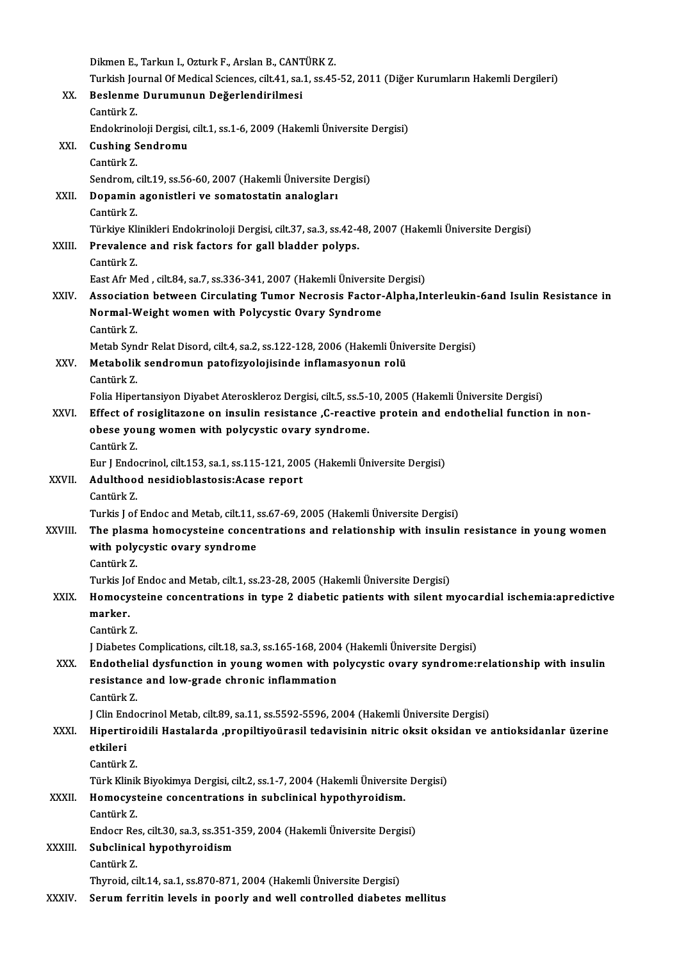|         | Dikmen E., Tarkun I., Ozturk F., Arslan B., CANTÜRK Z.                                                                           |
|---------|----------------------------------------------------------------------------------------------------------------------------------|
|         | Turkish Journal Of Medical Sciences, cilt.41, sa.1, ss.45-52, 2011 (Diğer Kurumların Hakemli Dergileri)                          |
| XX.     | Beslenme Durumunun Değerlendirilmesi                                                                                             |
|         | Cantürk Z.                                                                                                                       |
|         | Endokrinoloji Dergisi, cilt.1, ss.1-6, 2009 (Hakemli Üniversite Dergisi)                                                         |
| XXI.    | <b>Cushing Sendromu</b>                                                                                                          |
|         | Cantürk Z.                                                                                                                       |
|         | Sendrom, cilt.19, ss.56-60, 2007 (Hakemli Üniversite Dergisi)                                                                    |
| XXII.   | Dopamin agonistleri ve somatostatin analogları                                                                                   |
|         | Cantürk Z                                                                                                                        |
|         | Türkiye Klinikleri Endokrinoloji Dergisi, cilt.37, sa.3, ss.42-48, 2007 (Hakemli Üniversite Dergisi)                             |
| XXIII.  | Prevalence and risk factors for gall bladder polyps.                                                                             |
|         | Cantürk Z                                                                                                                        |
|         | East Afr Med, cilt.84, sa.7, ss.336-341, 2007 (Hakemli Üniversite Dergisi)                                                       |
| XXIV.   | Association between Circulating Tumor Necrosis Factor-Alpha, Interleukin-6and Isulin Resistance in                               |
|         | Normal-Weight women with Polycystic Ovary Syndrome                                                                               |
|         | Cantürk Z.                                                                                                                       |
|         | Metab Syndr Relat Disord, cilt.4, sa.2, ss.122-128, 2006 (Hakemli Üniversite Dergisi)                                            |
| XXV.    | Metabolik sendromun patofizyolojisinde inflamasyonun rolü                                                                        |
|         | Cantürk Z                                                                                                                        |
|         | Folia Hipertansiyon Diyabet Ateroskleroz Dergisi, cilt.5, ss.5-10, 2005 (Hakemli Üniversite Dergisi)                             |
| XXVI.   | Effect of rosiglitazone on insulin resistance ,C-reactive protein and endothelial function in non-                               |
|         | obese young women with polycystic ovary syndrome.                                                                                |
|         | Cantürk Z                                                                                                                        |
|         | Eur J Endocrinol, cilt.153, sa.1, ss.115-121, 2005 (Hakemli Üniversite Dergisi)                                                  |
| XXVII.  | Adulthood nesidioblastosis: Acase report<br>Cantürk Z.                                                                           |
|         | Turkis J of Endoc and Metab, cilt 11, ss 67-69, 2005 (Hakemli Üniversite Dergisi)                                                |
| XXVIII. |                                                                                                                                  |
|         | The plasma homocysteine concentrations and relationship with insulin resistance in young women<br>with polycystic ovary syndrome |
|         | Cantürk Z                                                                                                                        |
|         | Turkis Jof Endoc and Metab, cilt.1, ss.23-28, 2005 (Hakemli Üniversite Dergisi)                                                  |
| XXIX.   | Homocysteine concentrations in type 2 diabetic patients with silent myocardial ischemia:apredictive                              |
|         | marker.                                                                                                                          |
|         | Cantürk Z                                                                                                                        |
|         | J Diabetes Complications, cilt.18, sa.3, ss.165-168, 2004 (Hakemli Üniversite Dergisi)                                           |
| XXX.    | Endothelial dysfunction in young women with polycystic ovary syndrome:relationship with insulin                                  |
|         | resistance and low-grade chronic inflammation                                                                                    |
|         | Cantürk Z.                                                                                                                       |
|         | J Clin Endocrinol Metab, cilt.89, sa.11, ss.5592-5596, 2004 (Hakemli Üniversite Dergisi)                                         |
| XXXI.   | Hipertiroidili Hastalarda ,propiltiyoürasil tedavisinin nitric oksit oksidan ve antioksidanlar üzerine                           |
|         | etkileri                                                                                                                         |
|         | Cantürk Z                                                                                                                        |
|         | Türk Klinik Biyokimya Dergisi, cilt.2, ss.1-7, 2004 (Hakemli Üniversite Dergisi)                                                 |
| XXXII.  | Homocysteine concentrations in subclinical hypothyroidism.                                                                       |
|         | Cantürk Z                                                                                                                        |
|         | Endocr Res, cilt.30, sa.3, ss.351-359, 2004 (Hakemli Üniversite Dergisi)                                                         |
| XXXIII. | Subclinical hypothyroidism                                                                                                       |
|         | Cantürk Z                                                                                                                        |
|         | Thyroid, cilt.14, sa.1, ss.870-871, 2004 (Hakemli Üniversite Dergisi)                                                            |
| XXXIV.  | Serum ferritin levels in poorly and well controlled diabetes mellitus                                                            |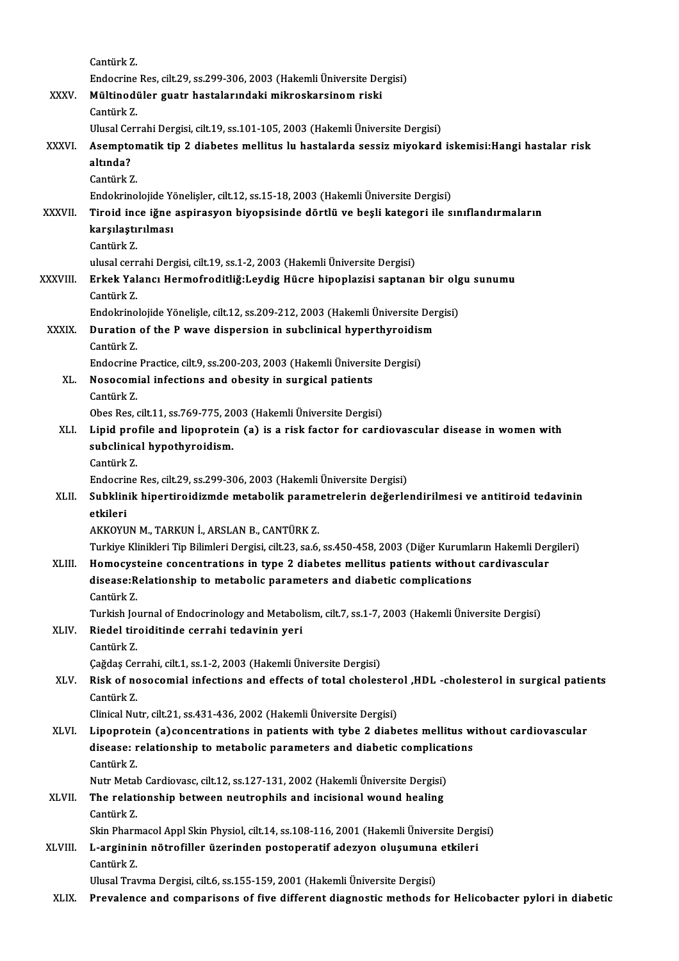|               | Cantürk Z                                                                                                                                                     |
|---------------|---------------------------------------------------------------------------------------------------------------------------------------------------------------|
|               | Endocrine Res, cilt.29, ss.299-306, 2003 (Hakemli Üniversite Dergisi)                                                                                         |
| XXXV.         | Mültinodüler guatr hastalarındaki mikroskarsinom riski<br>Cantürk Z                                                                                           |
|               | Ulusal Cerrahi Dergisi, cilt.19, ss.101-105, 2003 (Hakemli Üniversite Dergisi)                                                                                |
| XXXVI.        | Asemptomatik tip 2 diabetes mellitus lu hastalarda sessiz miyokard iskemisi: Hangi hastalar risk                                                              |
|               | altında?                                                                                                                                                      |
|               | Cantürk Z.                                                                                                                                                    |
|               | Endokrinolojide Yönelişler, cilt.12, ss.15-18, 2003 (Hakemli Üniversite Dergisi)                                                                              |
| <b>XXXVII</b> | Tiroid ince iğne aspirasyon biyopsisinde dörtlü ve beşli kategori ile sınıflandırmaların                                                                      |
|               | karşılaştırılması                                                                                                                                             |
|               | Cantürk Z                                                                                                                                                     |
| XXXVIII.      | ulusal cerrahi Dergisi, cilt.19, ss.1-2, 2003 (Hakemli Üniversite Dergisi)<br>Erkek Yalancı Hermofroditliğ: Leydig Hücre hipoplazisi saptanan bir olgu sunumu |
|               | Cantürk Z                                                                                                                                                     |
|               | Endokrinolojide Yönelişle, cilt.12, ss.209-212, 2003 (Hakemli Üniversite Dergisi)                                                                             |
| <b>XXXIX</b>  | Duration of the P wave dispersion in subclinical hyperthyroidism                                                                                              |
|               | Cantürk Z.                                                                                                                                                    |
|               | Endocrine Practice, cilt.9, ss.200-203, 2003 (Hakemli Üniversite Dergisi)                                                                                     |
| XL.           | Nosocomial infections and obesity in surgical patients                                                                                                        |
|               | Cantürk Z                                                                                                                                                     |
|               | Obes Res, cilt.11, ss.769-775, 2003 (Hakemli Üniversite Dergisi)                                                                                              |
| XLI.          | Lipid profile and lipoprotein (a) is a risk factor for cardiovascular disease in women with                                                                   |
|               | subclinical hypothyroidism.                                                                                                                                   |
|               | Cantürk Z                                                                                                                                                     |
|               | Endocrine Res, cilt.29, ss.299-306, 2003 (Hakemli Üniversite Dergisi)                                                                                         |
| XLII.         | Subklinik hipertiroidizmde metabolik parametrelerin değerlendirilmesi ve antitiroid tedavinin<br>etkileri                                                     |
|               | AKKOYUN M. TARKUN İ. ARSLAN B. CANTÜRK Z.                                                                                                                     |
|               | Turkiye Klinikleri Tip Bilimleri Dergisi, cilt.23, sa.6, ss.450-458, 2003 (Diğer Kurumların Hakemli Dergileri)                                                |
| XLIII.        | Homocysteine concentrations in type 2 diabetes mellitus patients without cardivascular                                                                        |
|               | disease: Relationship to metabolic parameters and diabetic complications                                                                                      |
|               | Cantürk Z                                                                                                                                                     |
|               | Turkish Journal of Endocrinology and Metabolism, cilt.7, ss.1-7, 2003 (Hakemli Üniversite Dergisi)                                                            |
| XLIV.         | Riedel tiroiditinde cerrahi tedavinin yeri                                                                                                                    |
|               | Cantürk Z.                                                                                                                                                    |
|               | Çağdaş Cerrahi, cilt.1, ss.1-2, 2003 (Hakemli Üniversite Dergisi)                                                                                             |
| XLV.          | Risk of nosocomial infections and effects of total cholesterol ,HDL -cholesterol in surgical patients                                                         |
|               | Cantürk Z<br>Clinical Nutr, cilt.21, ss.431-436, 2002 (Hakemli Üniversite Dergisi)                                                                            |
| XLVI.         | Lipoprotein (a) concentrations in patients with tybe 2 diabetes mellitus without cardiovascular                                                               |
|               | disease: relationship to metabolic parameters and diabetic complications                                                                                      |
|               | Cantürk Z                                                                                                                                                     |
|               | Nutr Metab Cardiovasc, cilt.12, ss.127-131, 2002 (Hakemli Üniversite Dergisi)                                                                                 |
| XLVII.        | The relationship between neutrophils and incisional wound healing                                                                                             |
|               | Cantürk Z                                                                                                                                                     |
|               | Skin Pharmacol Appl Skin Physiol, cilt.14, ss.108-116, 2001 (Hakemli Üniversite Dergisi)                                                                      |
| XLVIII.       | L-argininin nötrofiller üzerinden postoperatif adezyon oluşumuna etkileri                                                                                     |
|               | Cantürk Z.                                                                                                                                                    |
|               | Ulusal Travma Dergisi, cilt.6, ss.155-159, 2001 (Hakemli Üniversite Dergisi)                                                                                  |
| XLIX.         | Prevalence and comparisons of five different diagnostic methods for Helicobacter pylori in diabetic                                                           |
|               |                                                                                                                                                               |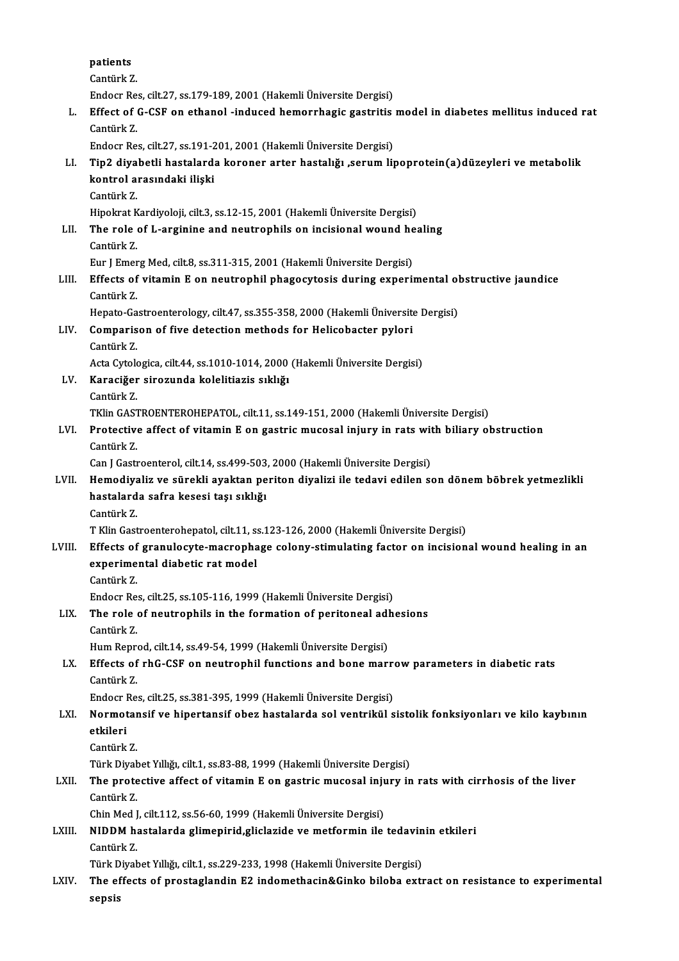|        | patients                                                                                         |
|--------|--------------------------------------------------------------------------------------------------|
|        | Cantürk Z                                                                                        |
|        | Endocr Res, cilt.27, ss.179-189, 2001 (Hakemli Üniversite Dergisi)                               |
| L.     | Effect of G-CSF on ethanol -induced hemorrhagic gastritis model in diabetes mellitus induced rat |
|        | Cantürk Z                                                                                        |
|        | Endocr Res, cilt.27, ss.191-201, 2001 (Hakemli Üniversite Dergisi)                               |
| LI.    | Tip2 diyabetli hastalarda koroner arter hastalığı ,serum lipoprotein(a)düzeyleri ve metabolik    |
|        | kontrol arasındaki ilişki                                                                        |
|        | Cantürk Z                                                                                        |
|        | Hipokrat Kardiyoloji, cilt.3, ss.12-15, 2001 (Hakemli Üniversite Dergisi)                        |
| LII.   | The role of L-arginine and neutrophils on incisional wound healing                               |
|        | Cantürk Z                                                                                        |
|        | Eur J Emerg Med, cilt.8, ss.311-315, 2001 (Hakemli Üniversite Dergisi)                           |
| LIII.  | Effects of vitamin E on neutrophil phagocytosis during experimental obstructive jaundice         |
|        | Cantürk Z.                                                                                       |
|        | Hepato-Gastroenterology, cilt.47, ss.355-358, 2000 (Hakemli Üniversite Dergisi)                  |
| LIV.   | Comparison of five detection methods for Helicobacter pylori                                     |
|        | Cantürk Z.                                                                                       |
|        | Acta Cytologica, cilt.44, ss.1010-1014, 2000 (Hakemli Üniversite Dergisi)                        |
| LV.    | Karaciğer sirozunda kolelitiazis sıklığı                                                         |
|        | Cantürk Z.                                                                                       |
|        | TKlin GASTROENTEROHEPATOL, cilt.11, ss.149-151, 2000 (Hakemli Üniversite Dergisi)                |
| LVI.   | Protective affect of vitamin E on gastric mucosal injury in rats with biliary obstruction        |
|        | Cantürk Z                                                                                        |
|        | Can J Gastroenterol, cilt.14, ss.499-503, 2000 (Hakemli Üniversite Dergisi)                      |
| LVII.  | Hemodiyaliz ve sürekli ayaktan periton diyalizi ile tedavi edilen son dönem böbrek yetmezlikli   |
|        | hastalarda safra kesesi taşı sıklığı                                                             |
|        | Cantürk Z                                                                                        |
|        | T Klin Gastroenterohepatol, cilt.11, ss.123-126, 2000 (Hakemli Üniversite Dergisi)               |
| LVIII. | Effects of granulocyte-macrophage colony-stimulating factor on incisional wound healing in an    |
|        | experimental diabetic rat model                                                                  |
|        | Cantürk Z.                                                                                       |
|        | Endocr Res, cilt.25, ss.105-116, 1999 (Hakemli Üniversite Dergisi)                               |
| LIX.   | The role of neutrophils in the formation of peritoneal adhesions                                 |
|        | Cantürk Z.                                                                                       |
|        | Hum Reprod, cilt.14, ss.49-54, 1999 (Hakemli Üniversite Dergisi)                                 |
| LX.    | Effects of rhG-CSF on neutrophil functions and bone marrow parameters in diabetic rats           |
|        | Cantürk Z.                                                                                       |
|        | Endocr Res, cilt.25, ss.381-395, 1999 (Hakemli Üniversite Dergisi)                               |
| LXI.   | Normotansif ve hipertansif obez hastalarda sol ventrikül sistolik fonksiyonları ve kilo kaybının |
|        | etkileri                                                                                         |
|        | Cantürk Z                                                                                        |
|        | Türk Diyabet Yıllığı, cilt.1, ss.83-88, 1999 (Hakemli Üniversite Dergisi)                        |
| LXII.  | The protective affect of vitamin E on gastric mucosal injury in rats with cirrhosis of the liver |
|        | Cantürk Z                                                                                        |
|        | Chin Med J, cilt.112, ss.56-60, 1999 (Hakemli Üniversite Dergisi)                                |
| LXIII. | NIDDM hastalarda glimepirid, gliclazide ve metformin ile tedavinin etkileri                      |
|        | Cantürk Z.                                                                                       |
|        | Türk Diyabet Yıllığı, cilt.1, ss.229-233, 1998 (Hakemli Üniversite Dergisi)                      |
| LXIV.  | The effects of prostaglandin E2 indomethacin&Ginko biloba extract on resistance to experimental  |
|        | sepsis                                                                                           |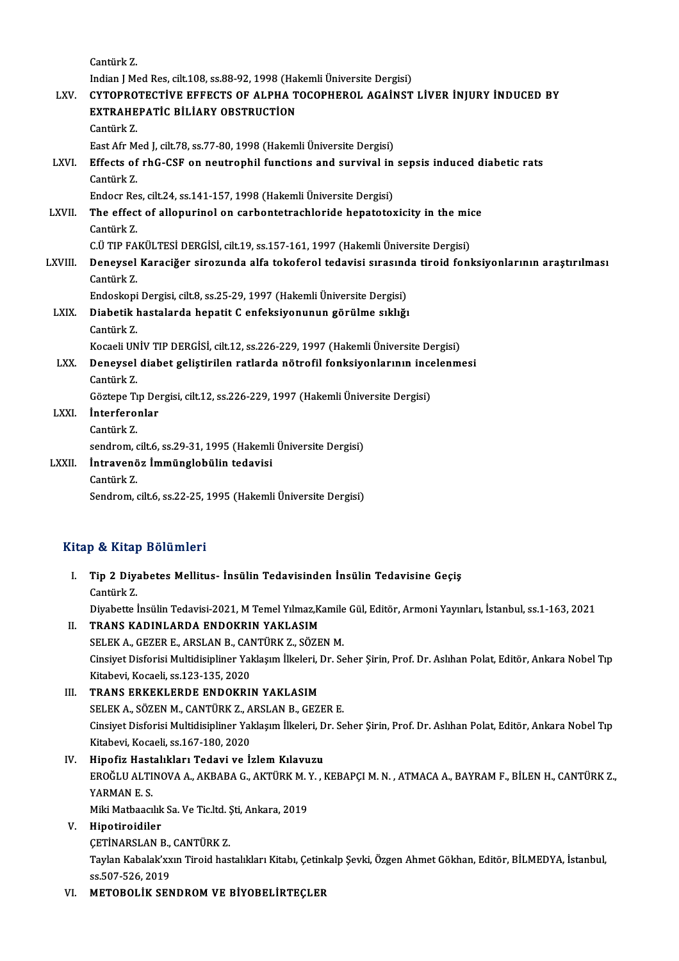|                         | Cantürk Z.                                                                                           |  |
|-------------------------|------------------------------------------------------------------------------------------------------|--|
|                         | Indian J Med Res, cilt.108, ss.88-92, 1998 (Hakemli Üniversite Dergisi)                              |  |
| LXV.                    | CYTOPROTECTIVE EFFECTS OF ALPHA TOCOPHEROL AGAINST LIVER INJURY INDUCED BY                           |  |
|                         | <b>EXTRAHEPATIC BILIARY OBSTRUCTION</b>                                                              |  |
|                         | Cantürk Z.                                                                                           |  |
|                         | East Afr Med J, cilt.78, ss.77-80, 1998 (Hakemli Üniversite Dergisi)                                 |  |
| LXVI.                   | Effects of rhG-CSF on neutrophil functions and survival in sepsis induced diabetic rats              |  |
|                         | Cantürk Z                                                                                            |  |
|                         | Endocr Res, cilt.24, ss.141-157, 1998 (Hakemli Üniversite Dergisi)                                   |  |
| LXVII.                  | The effect of allopurinol on carbontetrachloride hepatotoxicity in the mice                          |  |
|                         | Cantürk Z                                                                                            |  |
|                         | C.Ü TIP FAKÜLTESİ DERGİSİ, cilt.19, ss.157-161, 1997 (Hakemli Üniversite Dergisi)                    |  |
| LXVIII.                 | Deneysel Karaciğer sirozunda alfa tokoferol tedavisi sırasında tiroid fonksiyonlarının araştırılması |  |
|                         | Cantürk Z.                                                                                           |  |
|                         | Endoskopi Dergisi, cilt.8, ss.25-29, 1997 (Hakemli Üniversite Dergisi)                               |  |
| LXIX.                   | Diabetik hastalarda hepatit C enfeksiyonunun görülme sıklığı                                         |  |
|                         | Cantürk Z.                                                                                           |  |
|                         | Kocaeli UNİV TIP DERGİSİ, cilt.12, ss.226-229, 1997 (Hakemli Üniversite Dergisi)                     |  |
| LXX.                    | Deneysel diabet geliştirilen ratlarda nötrofil fonksiyonlarının incelenmesi                          |  |
|                         | Cantürk Z.                                                                                           |  |
|                         | Göztepe Tıp Dergisi, cilt.12, ss.226-229, 1997 (Hakemli Üniversite Dergisi)                          |  |
| LXXI.                   | <i>interferonlar</i>                                                                                 |  |
|                         | Cantürk Z.                                                                                           |  |
|                         | sendrom, cilt 6, ss 29-31, 1995 (Hakemli Üniversite Dergisi)                                         |  |
| <b>LXXII</b>            | İntravenöz İmmünglobülin tedavisi                                                                    |  |
|                         | Cantürk Z.                                                                                           |  |
|                         | Sendrom, cilt.6, ss 22-25, 1995 (Hakemli Üniversite Dergisi)                                         |  |
|                         |                                                                                                      |  |
| Kitap & Kitap Bölümleri |                                                                                                      |  |

- itap & Kitap Bölümleri<br>I. Tip 2 Diyabetes Mellitus- İnsülin Tedavisinden İnsülin Tedavisine Geçiş<br>Sentürk Z  $Tip 2 Div$ <br>Cantürk Z. Cantürk Z.<br>Diyabette İnsülin Tedavisi-2021, M Temel Yılmaz,Kamile Gül, Editör, Armoni Yayınları, İstanbul, ss.1-163, 2021 II. TRANS KADINLARDA ENDOKRIN YAKLASIM Diyabette İnsülin Tedavisi-2021, M Temel Yılmaz,Kamile<br>TRANS KADINLARDA ENDOKRIN YAKLASIM<br>SELEK A., GEZER E., ARSLAN B., CANTÜRK Z., SÖZEN M.<br>Ginsiyat Disforisi Multidisipliner Yaklasım İlkeleri, Dr. So Cinsiyet Disforisi Multidisipliner Yaklaşım İlkeleri, Dr. Seher Şirin, Prof. Dr. Aslıhan Polat, Editör, Ankara Nobel Tıp<br>Kitabevi, Kocaeli, ss.123-135, 2020 SELEK A., GEZER E., ARSLAN B., CAI<br>Cinsiyet Disforisi Multidisipliner Yal<br>Kitabevi, Kocaeli, ss.123-135, 2020<br>TRANS ERKEKI ERDE ENDOKRU III. TRANS ERKEKLERDE ENDOKRIN YAKLASIM Kitabevi, Kocaeli, ss.123-135, 2020<br>TRANS ERKEKLERDE ENDOKRIN YAKLASIM<br>SELEK A., SÖZEN M., CANTÜRK Z., ARSLAN B., GEZER E.<br>Cinsiyet Disforisi Multidisipliner Valdasım İlkeleri, Dr. Ss
- Cinsiyet Disforisi Multidisipliner Yaklaşım İlkeleri, Dr. Seher Şirin, Prof. Dr. Aslıhan Polat, Editör, Ankara Nobel Tıp<br>Kitabevi, Kocaeli, ss.167-180, 2020 SELEK A., SÖZEN M., CANTÜRK Z., A<br>Cinsiyet Disforisi Multidisipliner Yal<br>Kitabevi, Kocaeli, ss.167-180, 2020<br>Hinofiz Hastalıkları Tadavi va İ
- IV. Hipofiz Hastalıkları Tedavi ve İzlem Kılavuzu Kitabevi, Kocaeli, ss.167-180, 2020<br>Hipofiz Hastalıkları Tedavi ve İzlem Kılavuzu<br>EROĞLU ALTINOVA A., AKBABA G., AKTÜRK M. Y. , KEBAPÇI M. N. , ATMACA A., BAYRAM F., BİLEN H., CANTÜRK Z.,<br>YARMAN E.S Hi<mark>pofiz Hast</mark><br>EROĞLU ALTI<br>YARMAN E. S.<br>Mili Matbaagi EROĞLU ALTINOVA A., AKBABA G., AKTÜRK M. Y<br>YARMAN E. S.<br>Miki Matbaacılık Sa. Ve Tic.ltd. Şti, Ankara, 2019<br>Hinotinaidiler YARMAN E. S.<br>Miki Matbaacılık Sa. Ve Tic.ltd. Şti, Ankara, 2019<br>V. Hipotiroidiler Miki Matbaacılık Sa. Ve Tic.ltd. <mark>(</mark><br>Hipotiroidiler<br>ÇETİNARSLAN B., CANTÜRK Z.<br>Taylan Kabalalı'nun Tiraid baş

Taylan Kabalak'xxın Tiroid hastalıkları Kitabı, Çetinkalp Şevki, Özgen Ahmet Gökhan, Editör, BİLMEDYA, İstanbul,<br>ss.507-526, 2019 CETİNARSLAN B.,<br>Taylan Kabalak'xx<br>ss.507-526, 2019<br>METOROLİK SEN

VI. METOBOLİK SENDROM VE BİYOBELİRTEÇLER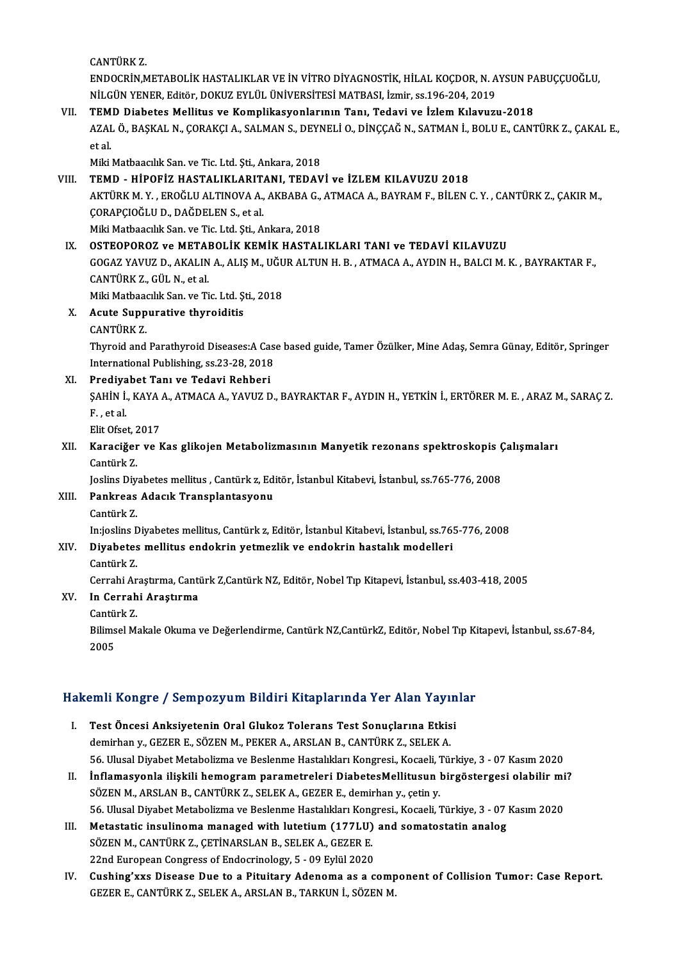CANTÜRK Z

CANTÜRK Z.<br>ENDOCRİN,METABOLİK HASTALIKLAR VE İN VİTRO DİYAGNOSTİK, HİLAL KOÇDOR, N. AYSUN PABUÇÇUOĞLU,<br>NİLÇÜN YENER, Editör, DOKUZ EVLÜL ÜNİVERSİTESİ MATRASL İsmin çe 196, 204, 2019. CANTÜRK Z.<br>ENDOCRİN,METABOLİK HASTALIKLAR VE İN VİTRO DİYAGNOSTİK, HİLAL KOÇDOR, N. A<br>NİLGÜN YENER, Editör, DOKUZ EYLÜL ÜNİVERSİTESİ MATBASI, İzmir, ss.196-204, 2019<br>TEMD, Diabatas Mallitus ve Kamplilsayıonlarının Tanı, Ta ENDOCRİN,METABOLİK HASTALIKLAR VE İN VİTRO DİYAGNOSTİK, HİLAL KOÇDOR, N. AYSUN PA<br>NİLGÜN YENER, Editör, DOKUZ EYLÜL ÜNİVERSİTESİ MATBASI, İzmir, ss.196-204, 2019<br>VII. TEMD Diabetes Mellitus ve Komplikasyonlarının Tanı, Ted

## NİLGÜN YENER, Editör, DOKUZ EYLÜL ÜNİVERSİTESİ MATBASI, İzmir, ss.196-204, 2019<br>TEMD Diabetes Mellitus ve Komplikasyonlarının Tanı, Tedavi ve İzlem Kılavuzu-2018<br>AZAL Ö., BAŞKAL N., ÇORAKÇI A., SALMAN S., DEYNELİ O., DİNÇÇ **TEM**<br>AZAI<br>et al.<br>Miki AZAL Ö., BAŞKAL N., ÇORAKÇI A., SALMAN S., DEYN<br>et al.<br>Miki Matbaacılık San. ve Tic. Ltd. Şti., Ankara, 2018<br>TEMD — HİROEİZ HASTALIKI ARITANI, TEDAV et al.<br>Miki Matbaacılık San. ve Tic. Ltd. Şti., Ankara, 2018<br>VIII. TEMD - HİPOFİZ HASTALIKLARITANI, TEDAVİ ve İZLEM KILAVUZU 2018<br>AKTÜRK M. X. EROĞLU ALTINOVA A. AKRARA G. ATMAGA A. RAYRAM E. RİLEN (

Miki Matbaacılık San. ve Tic. Ltd. Şti., Ankara, 2018<br>TEMD - HİPOFİZ HASTALIKLARITANI, TEDAVİ ve İZLEM KILAVUZU 2018<br>AKTÜRK M. Y. , EROĞLU ALTINOVA A., AKBABA G., ATMACA A., BAYRAM F., BİLEN C. Y. , CANTÜRK Z., ÇAKIR M.,<br>C **TEMD - HİPOFİZ HASTALIKLARIT.<br>AKTÜRK M. Y. , EROĞLU ALTINOVA A.,<br>ÇORAPÇIOĞLU D., DAĞDELEN S., et al.**<br>Miki Motboagilik Son ve Tis Ltd. Sti. A. AKTÜRK M. Y. , EROĞLU ALTINOVA A., AKBABA G.,<br>ÇORAPÇIOĞLU D., DAĞDELEN S., et al.<br>Miki Matbaacılık San. ve Tic. Ltd. Şti., Ankara, 2018<br>OSTEOBOBOZ v. METABOL İK KEMİK HASTAL CORAPÇIOĞLU D., DAĞDELEN S., et al.<br>Miki Matbaacılık San. ve Tic. Ltd. Şti., Ankara, 2018<br>IX. OSTEOPOROZ ve METABOLİK KEMİK HASTALIKLARI TANI ve TEDAVİ KILAVUZU

Miki Matbaacılık San. ve Tic. Ltd. Şti., Ankara, 2018<br>OSTEOPOROZ ve METABOLİK KEMİK HASTALIKLARI TANI ve TEDAVİ KILAVUZU<br>GOGAZ YAVUZ D., AKALIN A., ALIŞ M., UĞUR ALTUN H. B. , ATMACA A., AYDIN H., BALCI M. K. , BAYRAKTAR F **OSTEOPOROZ ve METAl<br>GOGAZ YAVUZ D., AKALIN<br>CANTÜRK Z., GÜL N., et al.<br>Miki Mathaqallk San, ya Ti** GOGAZ YAVUZ D., AKALIN A., ALIŞ M., UĞU<br>CANTÜRK Z., GÜL N., et al.<br>Miki Matbaacılık San. ve Tic. Ltd. Şti., 2018<br>Aqute Sunnungtive thunoiditie

Miki Matbaacılık San, ve Tic, Ltd, Sti., 2018

# CANTÜRK Z., GÜL N., et al.<br>Miki Matbaacılık San. ve Tic. Ltd. Ş<br>X. Acute Suppurative thyroiditis<br>CANTÜRK Z.

Acute Suppurative thyroiditis<br>CANTÜRK Z.<br>Thyroid and Parathyroid Diseases:A Case based guide, Tamer Özülker, Mine Adaş, Semra Günay, Editör, Springer<br>International Publisbing, ss 22, 28, 2019. CANTÜRK Z.<br>Thyroid and Parathyroid Diseases:A Cas<br>International Publishing, ss.23-28, 2018<br>Predivabet Tanı ve Tadovi Bebberi Thyroid and Parathyroid Diseases:A Ca:<br>International Publishing, ss.23-28, 2018<br>XI. Prediyabet Tanı ve Tedavi Rehberi

International Publishing, ss.23-28, 2018<br>Prediyabet Tanı ve Tedavi Rehberi<br>ŞAHİN İ., KAYA A., ATMACA A., YAVUZ D., BAYRAKTAR F., AYDIN H., YETKİN İ., ERTÖRER M. E. , ARAZ M., SARAÇ Z. Prediya<br>ŞAHİN İ.<br>F., et al. SAHIN I., KAYA<br>F. , et al.<br>Elit Ofset, 2017<br>Karasižar ve k

# F. , et al.<br>Elit Ofset, 2017<br>XII. Karaciğer ve Kas glikojen Metabolizmasının Manyetik rezonans spektroskopis Çalışmaları<br>Cantürk 7 Elit Ofset, 2<br>**Karaciğer**<br>Cantürk Z. Karaciğer ve Kas glikojen Metabolizmasının Manyetik rezonans spektroskopis (<br>Cantürk Z.<br>Joslins Diyabetes mellitus , Cantürk z, Editör, İstanbul Kitabevi, İstanbul, ss.765-776, 2008<br>Pankreas Adasık Transplantasıyonu

Joslins Diyabetes mellitus, Cantürk z, Editör, İstanbul Kitabevi, İstanbul, ss.765-776, 2008

# Cantürk Z.<br>Joslins Diyabetes mellitus , Cantürk z, Ed<br>XIII. **Pankreas Adacık Transplantasyonu**<br>Cantürk Z.

Pankreas Adacık Transplantasyonu<br>Cantürk Z.<br>In:joslins Diyabetes mellitus, Cantürk z, Editör, İstanbul Kitabevi, İstanbul, ss.765-776, 2008<br>Diyabetes mellitus andekrin yetmerlik ve andekrin bastalık medelleri

# XIV. Diyabetes mellitus endokrin yetmezlik ve endokrin hastalık modelleri<br>Cantürk Z. In:joslins <mark>L</mark><br>Di**yabetes**<br>Cantürk Z.<br>Cannabi An

Diyabetes mellitus endokrin yetmezlik ve endokrin hastalık modelleri<br>Cantürk Z.<br>Cerrahi Araştırma, Cantürk Z,Cantürk NZ, Editör, Nobel Tıp Kitapevi, İstanbul, ss.403-418, 2005<br>In Cerrahi Arastırma

# XV. In Cerrahi Araştırma Cerrahi Ar<br>I<mark>n Cerrah</mark><br>Cantürk Z.<br><sup>Pilimaal M.</sup>

I**n Cerrahi Araştırma**<br>Cantürk Z.<br>Bilimsel Makale Okuma ve Değerlendirme, Cantürk NZ,CantürkZ, Editör, Nobel Tıp Kitapevi, İstanbul, ss.67-84,<br>2005 Cantü:<br>Bilims<br>2005

# <sub>2005</sub><br>Hakemli Kongre / Sempozyum Bildiri Kitaplarında Yer Alan Yayınlar

- akemli Kongre / Sempozyum Bildiri Kitaplarında Yer Alan Yayın<br>I. Test Öncesi Anksiyetenin Oral Glukoz Tolerans Test Sonuçlarına Etkisi<br>Jomirban v. CEZER E. SÖZEN M. REKER A. ARSLAN R. CANTÜRK Z. SELEK A I. Test Öncesi Anksiyetenin Oral Glukoz Tolerans Test Sonuçlarına Etkisi<br>demirhan y., GEZER E., SÖZEN M., PEKER A., ARSLAN B., CANTÜRK Z., SELEK A. 56. Ulusal Diyabet Metabolizma ve Beslenme Hastalıkları Kongresi., Kocaeli, Türkiye, 3 - 07 Kasım 2020 demirhan y., GEZER E., SÖZEN M., PEKER A., ARSLAN B., CANTÜRK Z., SELEK A.<br>56. Ulusal Diyabet Metabolizma ve Beslenme Hastalıkları Kongresi., Kocaeli, Türkiye, 3 - 07 Kasım 2020<br>II. İnflamasyonla ilişkili hemogram parametr
- SÖZEN M., ARSLAN B., CANTÜRK Z., SELEK A., GEZER E., demirhan y., çetin y.<br>56. Ulusal Diyabet Metabolizma ve Beslenme Hastalıkları Kongresi., Kocaeli, Türkiye, 3 07 Kasım 2020 İnflamasyonla ilişkili hemogram parametreleri DiabetesMellitusun birgöstergesi olabilir mi<br>SÖZEN M., ARSLAN B., CANTÜRK Z., SELEK A., GEZER E., demirhan y., çetin y.<br>56. Ulusal Diyabet Metabolizma ve Beslenme Hastalıkları
- III. Metastatic insulinoma managed with lutetium (177LU) and somatostatin analog 56. Ulusal Diyabet Metabolizma ve Beslenme Hastalıkları Kong<br>Metastatic insulinoma managed with lutetium (177LU)<br>SÖZEN M., CANTÜRK Z., ÇETİNARSLAN B., SELEK A., GEZER E.<br>22nd Europeen Congress of Endesuinelegy E., 99 Eylül Metastatic insulinoma managed with lutetium (177LU)<br>SÖZEN M., CANTÜRK Z., ÇETİNARSLAN B., SELEK A., GEZER E.<br>22nd European Congress of Endocrinology, 5 - 09 Eylül 2020<br>Cushins'uya Disease Due te a Bituitany Adenema es a a
- SÖZEN M., CANTÜRK Z., ÇETİNARSLAN B., SELEK A., GEZER E.<br>22nd European Congress of Endocrinology, 5 09 Eylül 2020<br>IV. Cushing'xxs Disease Due to a Pituitary Adenoma as a component of Collision Tumor: Case Report.<br>CEZER E 22nd European Congress of Endocrinology, 5 - 09 Eylül 2020<br>Cushing'xxs Disease Due to a Pituitary Adenoma as a comp<br>GEZER E., CANTÜRK Z., SELEK A., ARSLAN B., TARKUN İ., SÖZEN M.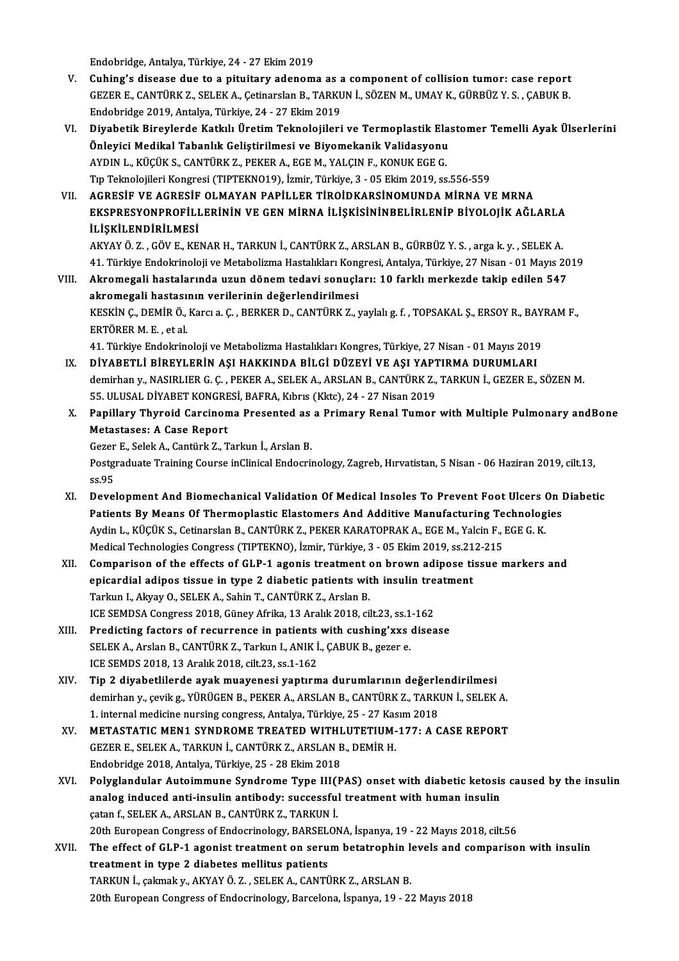Endobridge,Antalya,Türkiye,24 -27Ekim2019

- V. Cuhing's disease due to a pituitary adenoma as a component of collision tumor: case report Endobridge, Antalya, Türkiye, 24 - 27 Ekim 2019<br>Cuhing's disease due to a pituitary adenoma as a component of collision tumor: case report<br>GEZER E., CANTÜRK Z., SELEK A., Çetinarslan B., TARKUN İ., SÖZEN M., UMAY K., GÜRBÜ Cuhing's disease due to a pituitary adenoma as a<br>GEZER E., CANTÜRK Z., SELEK A., Çetinarslan B., TARKU<br>Endobridge 2019, Antalya, Türkiye, 24 - 27 Ekim 2019<br>Divebetik Binevlende Katkılı Ünetim Teknolojileri GEZER E., CANTÜRK Z., SELEK A., Çetinarslan B., TARKUN İ., SÖZEN M., UMAY K., GÜRBÜZ Y. S. , ÇABUK B.<br>Endobridge 2019, Antalya, Türkiye, 24 - 27 Ekim 2019<br>VI. Diyabetik Bireylerde Katkılı Üretim Teknolojileri ve Termop
- Endobridge 2019, Antalya, Türkiye, 24 27 Ekim 2019<br>Diyabetik Bireylerde Katkılı Üretim Teknolojileri ve Termoplastik Ela:<br>Önleyici Medikal Tabanlık Geliştirilmesi ve Biyomekanik Validasyonu<br>AYDIN L. KÜÇÜK S. CANTÜRK 7. R Diyabetik Bireylerde Katkılı Üretim Teknolojileri ve Termoplastik Ela<br>Önleyici Medikal Tabanlık Geliştirilmesi ve Biyomekanik Validasyonu<br>AYDIN L., KÜÇÜK S., CANTÜRK Z., PEKER A., EGE M., YALÇIN F., KONUK EGE G.<br>Tın Telmol Önleyici Medikal Tabanlık Geliştirilmesi ve Biyomekanik Validasyonu<br>AYDIN L., KÜÇÜK S., CANTÜRK Z., PEKER A., EGE M., YALÇIN F., KONUK EGE G.<br>Tıp Teknolojileri Kongresi (TIPTEKNO19), İzmir, Türkiye, 3 - 05 Ekim 2019, ss.55 VI . AGRESİF VE AGRESİF OLMAYAN PAPİLLER TİROİDKARSİNOMUNDAMİRNA VEMRNA
- Tıp Teknolojileri Kongresi (TIPTEKNO19), İzmir, Türkiye, 3 05 Ekim 2019, ss.556-559<br>AGRESİF VE AGRESİF OLMAYAN PAPİLLER TİROİDKARSİNOMUNDA MİRNA VE MRNA<br>EKSPRESYONPROFİLLERİNİN VE GEN MİRNA İLİŞKİSİNİNBELİRLENİP BİYOLOJİ AGRESİF VE AGRESİF<br>EKSPRESYONPROFİLI<br>İLİŞKİLENDİRİLMESİ<br>AKVAYÖ 7. CÖVE KE EKSPRESYONPROFİLLERİNİN VE GEN MİRNA İLİŞKİSİNİNBELİRLENİP BİYOLOJİK AĞLARLA<br>İLİŞKİLENDİRİLMESİ<br>AKYAY Ö. Z. , GÖV E., KENAR H., TARKUN İ., CANTÜRK Z., ARSLAN B., GÜRBÜZ Y. S. , arga k. y. , SELEK A.<br>41. Türkiye Endekrinele

**İLİŞKİLENDİRİLMESİ**<br>AKYAY Ö. Z. , GÖV E., KENAR H., TARKUN İ., CANTÜRK Z., ARSLAN B., GÜRBÜZ Y. S. , arga k. y. , SELEK A.<br>41. Türkiye Endokrinoloji ve Metabolizma Hastalıkları Kongresi, Antalya, Türkiye, 27 Nisan - 01 Ma AKYAY Ö. Z. , GÖV E., KENAR H., TARKUN İ., CANTÜRK Z., ARSLAN B., GÜRBÜZ Y. S. , arga k. y. , SELEK A.<br>41. Türkiye Endokrinoloji ve Metabolizma Hastalıkları Kongresi, Antalya, Türkiye, 27 Nisan - 01 Mayıs 20<br>1. Null. Akrom

41. Türkiye Endokrinoloji ve Metabolizma Hastalıkları Kon<sub>i</sub><br>Akromegali hastalarında uzun dönem tedavi sonuçla<br>akromegali hastasının verilerinin değerlendirilmesi<br>krovin canemin ölkersi alan benken pacanıtınız z Akromegali hastalarında uzun dönem tedavi sonuçları: 10 farklı merkezde takip edilen 547<br>akromegali hastasının verilerinin değerlendirilmesi<br>KESKİN Ç., DEMİR Ö., Karcı a. Ç. , BERKER D., CANTÜRK Z., yaylalı g. f. , TOPSAKA <mark>akromegali hastası:</mark><br>KESKİN Ç., DEMİR Ö.,<br>ERTÖRER M. E. , et al.<br>41. Türkiye Endelmin KESKİN Ç., DEMİR Ö., Karcı a. Ç. , BERKER D., CANTÜRK Z., yaylalı g. f. , TOPSAKAL Ş., ERSOY R., BAY<br>ERTÖRER M. E. , et al.<br>41. Türkiye Endokrinoloji ve Metabolizma Hastalıkları Kongres, Türkiye, 27 Nisan - 01 Mayıs 2019<br>D ERTÖRER M. E. , et al.<br>11. Türkiye Endokrinoloji ve Metabolizma Hastalıkları Kongres, Türkiye, 27 Nisan - 01 Mayıs 2019<br>12. DİYABETLİ BİREYLERİN AŞI HAKKINDA BİLGİ DÜZEYİ VE AŞI YAPTIRMA DURUMLARI

- 41. Türkiye Endokrinoloji ve Metabolizma Hastalıkları Kongres, Türkiye, 27 Nisan 01 Mayıs 2019<br>DİYABETLİ BİREYLERİN AŞI HAKKINDA BİLGİ DÜZEYİ VE AŞI YAPTIRMA DURUMLARI<br>demirhan y., NASIRLIER G. Ç. , PEKER A., SELEK A., A DİYABETLİ BİREYLERİN AŞI HAKKINDA BİLGİ DÜZEYİ VE AŞI YAPT<br>demirhan y., NASIRLIER G. Ç. , PEKER A., SELEK A., ARSLAN B., CANTÜRK Z.,<br>55. ULUSAL DİYABET KONGRESİ, BAFRA, Kıbrıs (Kktc), 24 - 27 Nisan 2019<br>Panillaru Thurqid C 55. ULUSAL DİYABET KONGRESİ, BAFRA, Kıbrıs (Kktc), 24 - 27 Nisan 2019
- X. Papillary Thyroid Carcinoma Presented as a Primary Renal Tumor with Multiple Pulmonary andBone<br>Metastases: A Case Report Papillary Thyroid Carcinoma Presented as<br>Metastases: A Case Report<br>Gezer E., Selek A., Cantürk Z., Tarkun İ., Arslan B.<br>Bestanaduata Training Course inClinical Endecrit

Postgraduate Training Course inClinical Endocrinology, Zagreb, Hırvatistan, 5 Nisan - 06 Haziran 2019, cilt.13,<br>ss.95 Gezer<br>Postgi<br>ss.95<br>Devel Postgraduate Training Course inClinical Endocrinology, Zagreb, Hırvatistan, 5 Nisan - 06 Haziran 2019, cilt.13,<br>ss.95<br>XI. Development And Biomechanical Validation Of Medical Insoles To Prevent Foot Ulcers On Diabetic<br>Patie

- ss.95<br>Development And Biomechanical Validation Of Medical Insoles To Prevent Foot Ulcers On l<br>Patients By Means Of Thermoplastic Elastomers And Additive Manufacturing Technologies<br>Ardin L. Kücük s. Cetinorelan B. CANTÜRK 7 Development And Biomechanical Validation Of Medical Insoles To Prevent Foot Ulcers (<br>Patients By Means Of Thermoplastic Elastomers And Additive Manufacturing Technolog<br>Aydin L., KÜÇÜK S., Cetinarslan B., CANTÜRK Z., PEKER Patients By Means Of Thermoplastic Elastomers And Additive Manufacturing Te<br>Aydin L., KÜÇÜK S., Cetinarslan B., CANTÜRK Z., PEKER KARATOPRAK A., EGE M., Yalcin F., I<br>Medical Technologies Congress (TIPTEKNO), İzmir, Türkiye Aydin L., KÜÇÜK S., Cetinarslan B., CANTÜRK Z., PEKER KARATOPRAK A., EGE M., Yalcin F., EGE G. K.<br>Medical Technologies Congress (TIPTEKNO), İzmir, Türkiye, 3 - 05 Ekim 2019, ss.212-215<br>XII. Comparison of the effects of GLP
- Medical Technologies Congress (TIPTEKNO), İzmir, Türkiye, 3 05 Ekim 2019, ss.21<br>Comparison of the effects of GLP-1 agonis treatment on brown adipose ti<br>epicardial adipos tissue in type 2 diabetic patients with insulin tr Comparison of the effects of GLP-1 agonis treatment of epicardial adipos tissue in type 2 diabetic patients with Tarkun L, Akyay O., SELEK A., Sahin T., CANTÜRK Z., Arslan B. epicardial adipos tissue in type 2 diabetic patients with insulin tre<br>Tarkun I., Akyay O., SELEK A., Sahin T., CANTÜRK Z., Arslan B.<br>ICE SEMDSA Congress 2018, Güney Afrika, 13 Aralık 2018, cilt.23, ss.1-162<br>Predisting fast Tarkun I., Akyay O., SELEK A., Sahin T., CANTÜRK Z., Arslan B.<br>ICE SEMDSA Congress 2018, Güney Afrika, 13 Aralık 2018, cilt.23, ss.1-162<br>XIII. Predicting factors of recurrence in patients with cushing'xxs disease<br>SELEK A.
- ICE SEMDSA Congress 2018, Güney Afrika, 13 Aralık 2018, cilt.23, ss.1<br>Predicting factors of recurrence in patients with cushing'xxs<br>SELEK A., Arslan B., CANTÜRK Z., Tarkun I., ANIK İ., ÇABUK B., gezer e.<br>ICE SEMDS 2018, 12 Predicting factors of recurrence in patients<br>SELEK A., Arslan B., CANTÜRK Z., Tarkun I., ANIK İ<br>ICE SEMDS 2018, 13 Aralık 2018, cilt.23, ss.1-162<br>Tin 2 divebatlilarda avak muayanası yantırm SELEK A., Arslan B., CANTÜRK Z., Tarkun I., ANIK İ., ÇABUK B., gezer e.<br>ICE SEMDS 2018, 13 Aralık 2018, cilt.23, ss.1-162<br>XIV. Tip 2 diyabetlilerde ayak muayenesi yaptırma durumlarının değerlendirilmesi<br>domirban v. qvilk 5
- ICE SEMDS 2018, 13 Aralık 2018, cilt.23, ss.1-162<br>Tip 2 diyabetlilerde ayak muayenesi yaptırma durumlarının değerlendirilmesi<br>demirhan y., çevik g., YÜRÜGEN B., PEKER A., ARSLAN B., CANTÜRK Z., TARKUN İ., SELEK A.<br>1. inter Tip 2 diyabetlilerde ayak muayenesi yaptırma durumlarının değerle<br>demirhan y., çevik g., YÜRÜGEN B., PEKER A., ARSLAN B., CANTÜRK Z., TARKI<br>1. internal medicine nursing congress, Antalya, Türkiye, 25 - 27 Kasım 2018<br>METAST demirhan y., çevik g., YÜRÜGEN B., PEKER A., ARSLAN B., CANTÜRK Z., TARKUN İ., SELEK A.<br>1. internal medicine nursing congress, Antalya, Türkiye, 25 - 27 Kasım 2018<br>XV. METASTATIC MEN1 SYNDROME TREATED WITHLUTETIUM-177: A C
- 1. internal medicine nursing congress, Antalya, Türkiye, 25 27 Kas<br>METASTATIC MEN1 SYNDROME TREATED WITHLUTETIUM-<br>GEZER E., SELEK A., TARKUN İ., CANTÜRK Z., ARSLAN B., DEMİR H.<br>Endebridge 2018. Artelya Türkiye, 25 29 E METASTATIC MEN1 SYNDROME TREATED WITHI<br>GEZER E., SELEK A., TARKUN İ., CANTÜRK Z., ARSLAN B<br>Endobridge 2018, Antalya, Türkiye, 25 - 28 Ekim 2018<br>Polyglandular Autaimmune Syndrome Type HICB GEZER E., SELEK A., TARKUN İ., CANTÜRK Z., ARSLAN B., DEMİR H.<br>Endobridge 2018, Antalya, Türkiye, 25 - 28 Ekim 2018<br>XVI. Polyglandular Autoimmune Syndrome Type III(PAS) onset with diabetic ketosis caused by the insulin
- Endobridge 2018, Antalya, Türkiye, 25 28 Ekim 2018<br>Polyglandular Autoimmune Syndrome Type III(PAS) onset with diabetic ketosis<br>analog induced anti-insulin antibody: successful treatment with human insulin<br>estan f. SELEK Polyglandular Autoimmune Syndrome Type III(1)<br>analog induced anti-insulin antibody: successful<br>çatan f., SELEK A., ARSLAN B., CANTÜRK Z., TARKUN İ.<br>20th European Congress of Endosrinelegy: BARSELON analog induced anti-insulin antibody: successful treatment with human insulin<br>catan f., SELEK A., ARSLAN B., CANTÜRK Z., TARKUN İ.<br>20th European Congress of Endocrinology, BARSELONA, İspanya, 19 - 22 Mayıs 2018, cilt.56 catan f., SELEK A., ARSLAN B., CANTÜRK Z., TARKUN İ.<br>20th European Congress of Endocrinology, BARSELONA, İspanya, 19 - 22 Mayıs 2018, cilt.56<br>XVII. The effect of GLP-1 agonist treatment on serum betatrophin levels and
- 20th European Congress of Endocrinology, BARSEL<br>The effect of GLP-1 agonist treatment on seru<br>treatment in type 2 diabetes mellitus patients<br>TARKUN i. colmak v. AKYAYÖ 7 SELEK A CANTÜ The effect of GLP-1 agonist treatment on serum betatrophin lectratment in type 2 diabetes mellitus patients<br>TARKUN İ., çakmak y., AKYAY Ö.Z. , SELEK A., CANTÜRK Z., ARSLAN B.<br>20th European Congress of Endesrinelegy, Barsel treatment in type 2 diabetes mellitus patients<br>TARKUN İ., çakmak y., AKYAY Ö. Z. , SELEK A., CANTÜRK Z., ARSLAN B.<br>20th European Congress of Endocrinology, Barcelona, İspanya, 19 - 22 Mayıs 2018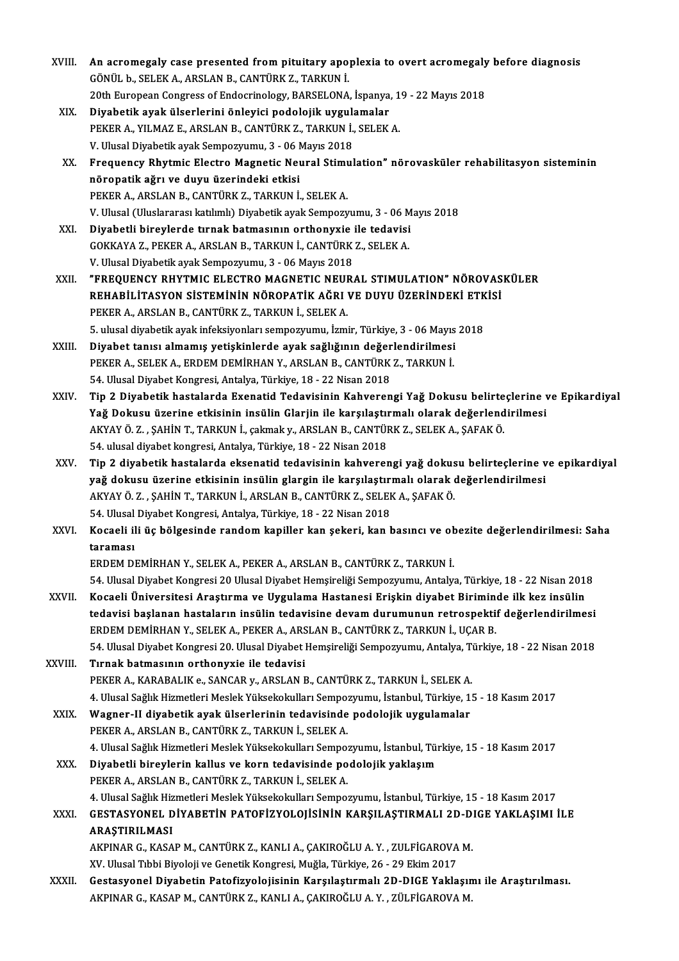| XVIII.      | An acromegaly case presented from pituitary apoplexia to overt acromegaly before diagnosis                  |
|-------------|-------------------------------------------------------------------------------------------------------------|
|             | GÖNÜL b., SELEK A., ARSLAN B., CANTÜRK Z., TARKUN İ.                                                        |
|             | 20th European Congress of Endocrinology, BARSELONA, İspanya, 19 - 22 Mayıs 2018                             |
| XIX.        | Diyabetik ayak ülserlerini önleyici podolojik uygulamalar                                                   |
|             | PEKER A., YILMAZ E., ARSLAN B., CANTÜRK Z., TARKUN İ., SELEK A.                                             |
|             | V. Ulusal Diyabetik ayak Sempozyumu, 3 - 06 Mayıs 2018                                                      |
| XX.         | Frequency Rhytmic Electro Magnetic Neural Stimulation" nörovasküler rehabilitasyon sisteminin               |
|             | nöropatik ağrı ve duyu üzerindeki etkisi                                                                    |
|             | PEKER A., ARSLAN B., CANTÜRK Z., TARKUN İ., SELEK A.                                                        |
|             |                                                                                                             |
|             | V. Ulusal (Uluslararası katılımlı) Diyabetik ayak Sempozyumu, 3 - 06 Mayıs 2018                             |
| XXI.        | Diyabetli bireylerde tırnak batmasının orthonyxie ile tedavisi                                              |
|             | GOKKAYA Z., PEKER A., ARSLAN B., TARKUN İ., CANTÜRK Z., SELEK A.                                            |
|             | V. Ulusal Diyabetik ayak Sempozyumu, 3 - 06 Mayıs 2018                                                      |
| XXII.       | "FREQUENCY RHYTMIC ELECTRO MAGNETIC NEURAL STIMULATION" NÖROVASKÜLER                                        |
|             | REHABİLİTASYON SİSTEMININ NÖROPATIK AĞRI VE DUYU ÜZERİNDEKİ ETKİSİ                                          |
|             | PEKER A., ARSLAN B., CANTÜRK Z., TARKUN İ., SELEK A.                                                        |
|             | 5. ulusal diyabetik ayak infeksiyonları sempozyumu, İzmir, Türkiye, 3 - 06 Mayıs 2018                       |
| XXIII.      | Diyabet tanısı almamış yetişkinlerde ayak sağlığının değerlendirilmesi                                      |
|             | PEKER A., SELEK A., ERDEM DEMİRHAN Y., ARSLAN B., CANTÜRK Z., TARKUN İ.                                     |
|             | 54. Ulusal Diyabet Kongresi, Antalya, Türkiye, 18 - 22 Nisan 2018                                           |
| XXIV.       | Tip 2 Diyabetik hastalarda Exenatid Tedavisinin Kahverengi Yağ Dokusu belirteçlerine ve Epikardiyal         |
|             | Yağ Dokusu üzerine etkisinin insülin Glarjin ile karşılaştırmalı olarak değerlendirilmesi                   |
|             | AKYAY Ö. Z., ŞAHİN T., TARKUN İ., çakmak y., ARSLAN B., CANTÜRK Z., SELEK A., ŞAFAK Ö.                      |
|             | 54. ulusal diyabet kongresi, Antalya, Türkiye, 18 - 22 Nisan 2018                                           |
| XXV.        | Tip 2 diyabetik hastalarda eksenatid tedavisinin kahverengi yağ dokusu belirteçlerine ve epikardiyal        |
|             | yağ dokusu üzerine etkisinin insülin glargin ile karşılaştırmalı olarak değerlendirilmesi                   |
|             | AKYAY Ö. Z., ŞAHİN T., TARKUN İ., ARSLAN B., CANTÜRK Z., SELEK A., ŞAFAK Ö.                                 |
|             | 54. Ulusal Diyabet Kongresi, Antalya, Türkiye, 18 - 22 Nisan 2018                                           |
| <b>XXVI</b> | Kocaeli ili üç bölgesinde random kapiller kan şekeri, kan basıncı ve obezite değerlendirilmesi: Saha        |
|             | taraması                                                                                                    |
|             | ERDEM DEMİRHAN Y., SELEK A., PEKER A., ARSLAN B., CANTÜRK Z., TARKUN İ.                                     |
|             | 54. Ulusal Diyabet Kongresi 20 Ulusal Diyabet Hemşireliği Sempozyumu, Antalya, Türkiye, 18 - 22 Nisan 2018  |
| XXVII.      | Kocaeli Üniversitesi Araştırma ve Uygulama Hastanesi Erişkin diyabet Biriminde ilk kez insülin              |
|             | tedavisi başlanan hastaların insülin tedavisine devam durumunun retrospektif değerlendirilmesi              |
|             | ERDEM DEMIRHAN Y., SELEK A., PEKER A., ARSLAN B., CANTÜRK Z., TARKUN İ., UÇAR B.                            |
|             | 54. Ulusal Diyabet Kongresi 20. Ulusal Diyabet Hemşireliği Sempozyumu, Antalya, Türkiye, 18 - 22 Nisan 2018 |
| XXVIII.     | Tırnak batmasının orthonyxie ile tedavisi                                                                   |
|             | PEKER A., KARABALIK e., SANCAR y., ARSLAN B., CANTÜRK Z., TARKUN İ., SELEK A.                               |
|             | 4. Ulusal Sağlık Hizmetleri Meslek Yüksekokulları Sempozyumu, İstanbul, Türkiye, 15 - 18 Kasım 2017         |
| XXIX.       | Wagner-II diyabetik ayak ülserlerinin tedavisinde podolojik uygulamalar                                     |
|             | PEKER A., ARSLAN B., CANTÜRK Z., TARKUN İ., SELEK A.                                                        |
|             | 4. Ulusal Sağlık Hizmetleri Meslek Yüksekokulları Sempozyumu, İstanbul, Türkiye, 15 - 18 Kasım 2017         |
| XXX.        | Diyabetli bireylerin kallus ve korn tedavisinde podolojik yaklaşım                                          |
|             | PEKER A., ARSLAN B., CANTÜRK Z., TARKUN İ., SELEK A.                                                        |
|             | 4. Ulusal Sağlık Hizmetleri Meslek Yüksekokulları Sempozyumu, İstanbul, Türkiye, 15 - 18 Kasım 2017         |
| <b>XXXI</b> | GESTASYONEL DIYABETIN PATOFIZYOLOJISININ KARŞILAŞTIRMALI 2D-DIGE YAKLAŞIMI İLE                              |
|             | ARAȘTIRILMASI                                                                                               |
|             | AKPINAR G., KASAP M., CANTÜRK Z., KANLI A., ÇAKIROĞLU A.Y., ZULFİGAROVA M.                                  |
|             | XV. Ulusal Tıbbi Biyoloji ve Genetik Kongresi, Muğla, Türkiye, 26 - 29 Ekim 2017                            |
| XXXII.      | Gestasyonel Diyabetin Patofizyolojisinin Karşılaştırmalı 2D-DIGE Yaklaşımı ile Araştırılması.               |
|             | AKPINAR G., KASAP M., CANTÜRK Z., KANLI A., ÇAKIROĞLU A. Y., ZÜLFİGAROVA M.                                 |
|             |                                                                                                             |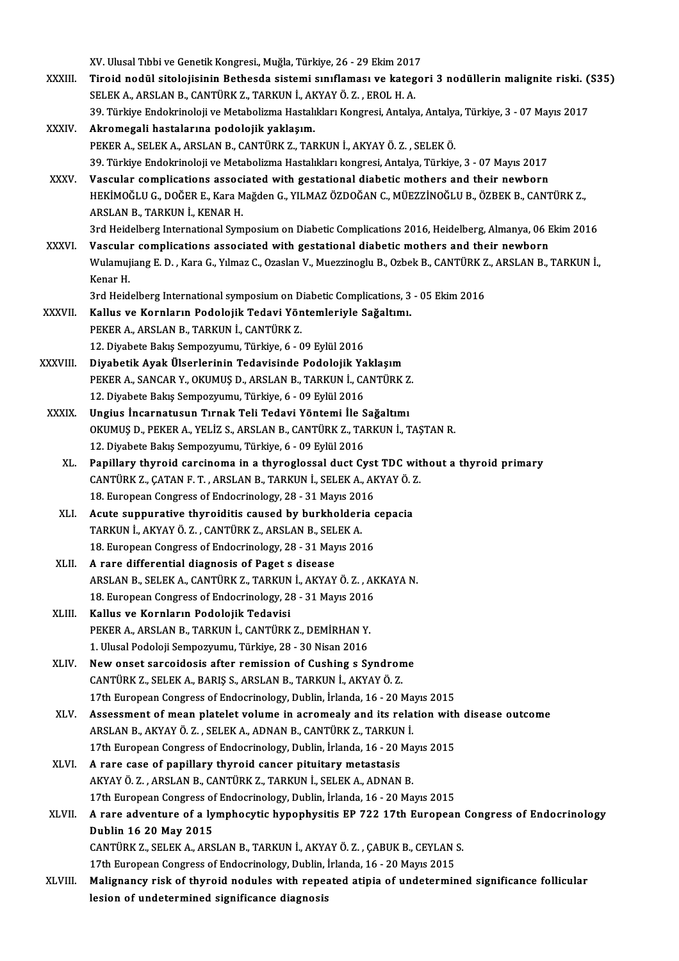XV.UlusalTıbbiveGenetikKongresi.,Muğla,Türkiye,26 -29Ekim2017 XV. Ulusal Tıbbi ve Genetik Kongresi., Muğla, Türkiye, 26 - 29 Ekim 2017<br>XXXIII. Tiroid nodül sitolojisinin Bethesda sistemi sınıflaması ve kategori 3 nodüllerin malignite riski. (S35) XV. Ulusal Tıbbi ve Genetik Kongresi., Muğla, Türkiye, 26 - 29 Ekim 201.<br>Tiroid nodül sitolojisinin Bethesda sistemi sınıflaması ve kateg<br>SELEK A., ARSLAN B., CANTÜRK Z., TARKUN İ., AKYAY Ö. Z. , EROL H. A.<br>20 Türkiye Ende Tiroid nodül sitolojisinin Bethesda sistemi sınıflaması ve kategori 3 nodüllerin malignite riski. (<br>SELEK A., ARSLAN B., CANTÜRK Z., TARKUN İ., AKYAY Ö. Z. , EROL H. A.<br>39. Türkiye Endokrinoloji ve Metabolizma Hastalıkları SELEK A., ARSLAN B., CANTÜRK Z., TARKUN İ., AKYAY Ö. Z. , EROL H. A.<br>39. Türkiye Endokrinoloji ve Metabolizma Hastalıkları Kongresi, Antalya, Antalya, Türkiye, 3 - 07 Mayıs 2017<br>XXXIV. Akromegali hastalarına podolojik PEKER A., SELEK A., ARSLAN B., CANTÜRK Z., TARKUN İ., AKYAYÖ. Z., SELEKÖ. Akromegali hastalarına podolojik yaklaşım.<br>PEKER A., SELEK A., ARSLAN B., CANTÜRK Z., TARKUN İ., AKYAY Ö. Z. , SELEK Ö.<br>39. Türkiye Endokrinoloji ve Metabolizma Hastalıkları kongresi, Antalya, Türkiye, 3 - 07 Mayıs 2017<br>Va PEKER A., SELEK A., ARSLAN B., CANTÜRK Z., TARKUN İ., AKYAY Ö. Z. , SELEK Ö.<br>39. Türkiye Endokrinoloji ve Metabolizma Hastalıkları kongresi, Antalya, Türkiye, 3 - 07 Mayıs 2017<br>XXXV. Vascular complications associated w 39. Türkiye Endokrinoloji ve Metabolizma Hastalıkları kongresi, Antalya, Türkiye, 3 - 07 Mayıs 2017<br>Vascular complications associated with gestational diabetic mothers and their newborn<br>HEKİMOĞLU G., DOĞER E., Kara Mağden Vascular complications associ<br>HEKİMOĞLU G., DOĞER E., Kara M<br>ARSLAN B., TARKUN İ., KENAR H.<br>2rd Heidelberg International Sum HEKİMOĞLU G., DOĞER E., Kara Mağden G., YILMAZ ÖZDOĞAN C., MÜEZZİNOĞLU B., ÖZBEK B., CANTÜRK Z.,<br>ARSLAN B., TARKUN İ., KENAR H.<br>3rd Heidelberg International Symposium on Diabetic Complications 2016, Heidelberg, Almanya, 06 ARSLAN B., TARKUN İ., KENAR H.<br>3rd Heidelberg International Symposium on Diabetic Complications 2016, Heidelberg, Almanya, 06 E<br>3XXVI. Vascular complications associated with gestational diabetic mothers and their newborn<br>3 3rd Heidelberg International Symposium on Diabetic Complications 2016, Heidelberg, Almanya, 06 Ekim 2016<br>Vascular complications associated with gestational diabetic mothers and their newborn<br>Wulamujiang E. D. , Kara G., Yı **Vascula**<br>Wulamuj<br>Kenar H.<br><sup>2nd Hoid</sup> Wulamujiang E. D. , Kara G., Yılmaz C., Ozaslan V., Muezzinoglu B., Ozbek B., CANTÜRK Z<br>Kenar H.<br>3rd Heidelberg International symposium on Diabetic Complications, 3 - 05 Ekim 2016<br>Kallus ve Kernların Bodolojik Tedevi Vönte Kenar H.<br>3rd Heidelberg International symposium on Diabetic Complications, 3<br>XXXVII. Kallus ve Kornların Podolojik Tedavi Yöntemleriyle Sağaltımı.<br>REKER A ARSLAN B. TARKIN İ. CANTÜRK 7 3rd Heidelberg International symposium on D<br>Kallus ve Kornların Podolojik Tedavi Yön<br>PEKER A., ARSLAN B., TARKUN İ., CANTÜRK Z.<br>12. Divebate Balge Samparrumu, Türkiye é. 6 12. Kallus ve Kornların Podolojik Tedavi Yöntemleriyle Sağaltımı.<br>12. Diyabete Bakış Sempozyumu, Türkiye, 6 - 09 Eylül 2016 XXXVIII. Diyabetik Ayak Ülserlerinin Tedavisinde Podolojik Yaklaşım 12. Diyabete Bakış Sempozyumu, Türkiye, 6 - 09 Eylül 2016<br>Diyabetik Ayak Ülserlerinin Tedavisinde Podolojik Yaklaşım<br>PEKER A., SANCAR Y., OKUMUŞ D., ARSLAN B., TARKUN İ., CANTÜRK Z.<br>12. Diyabete Balus Semperrumu, Türkiye 6 Diyabetik Ayak Ülserlerinin Tedavisinde Podolojik Ya<br>PEKER A., SANCAR Y., OKUMUŞ D., ARSLAN B., TARKUN İ., C.<br>12. Diyabete Bakış Sempozyumu, Türkiye, 6 - 09 Eylül 2016<br>Ungiya İncarnatucun Tırnak Tali Tedavi Yöntemi İle S PEKER A., SANCAR Y., OKUMUŞ D., ARSLAN B., TARKUN İ., CANTÜRK Z<br>12. Diyabete Bakış Sempozyumu, Türkiye, 6 - 09 Eylül 2016<br>XXXIX. Ungius İncarnatusun Tırnak Teli Tedavi Yöntemi İle Sağaltımı<br>OKUMUS D. BEKER A. YELİZ S. ARSL 12. Diyabete Bakış Sempozyumu, Türkiye, 6 - 09 Eylül 2016<br>Ungius İncarnatusun Tırnak Teli Tedavi Yöntemi İle Sağaltımı<br>OKUMUŞ D., PEKER A., YELİZ S., ARSLAN B., CANTÜRK Z., TARKUN İ., TAŞTAN R.<br>12. Diyabete Bakıs Semperrum Ungius İncarnatusun Tırnak Teli Tedavi Yöntemi İle S<br>OKUMUŞ D., PEKER A., YELİZ S., ARSLAN B., CANTÜRK Z., TA<br>12. Diyabete Bakış Sempozyumu, Türkiye, 6 - 09 Eylül 2016<br>Panilları: thuraid sarsinama in a thuraslassal dust Cr 12. Diyabete Bakış Sempozyumu, Türkiye, 6 - 09 Eylül 2016<br>XL. Papillary thyroid carcinoma in a thyroglossal duct Cyst TDC without a thyroid primary 12. Diyabete Bakış Sempozyumu, Türkiye, 6 - 09 Eylül 2016<br>Papillary thyroid carcinoma in a thyroglossal duct Cyst TDC wit<br>CANTÜRK Z., ÇATAN F. T., ARSLAN B., TARKUN İ., SELEK A., AKYAY Ö. Z.<br>18. European Cangress of Endosr Papillary thyroid carcinoma in a thyroglossal duct Cyst<br>CANTÜRK Z., ÇATAN F. T. , ARSLAN B., TARKUN İ., SELEK A., AF<br>18. European Congress of Endocrinology, 28 - 31 Mayıs 2016<br>Agute cunnurative thyroiditis caused by burkha CANTÜRK Z., ÇATAN F. T., ARSLAN B., TARKUN İ., SELEK A., AKYAY Ö. 7<br>18. European Congress of Endocrinology, 28 - 31 Mayıs 2016<br>XLI. Acute suppurative thyroiditis caused by burkholderia cepacia<br>TARKUN İ. AKYAY Ö. Z., CANTÜR 18. European Congress of Endocrinology, 28 - 31 Mayıs 2014<br>Acute suppurative thyroiditis caused by burkholderi<br>TARKUN İ., AKYAY Ö. Z., CANTÜRK Z., ARSLAN B., SELEK A. Acute suppurative thyroiditis caused by burkholderia of<br>TARKUN İ., AKYAY Ö. Z. , CANTÜRK Z., ARSLAN B., SELEK A.<br>18. European Congress of Endocrinology, 28 - 31 Mayıs 2016<br>A rana differential diagnesis of Bagat a diagase. TARKUN İ., AKYAY Ö. Z., CANTÜRK Z., ARSLAN B., SEL<br>18. European Congress of Endocrinology, 28 - 31 May<br>XLII. A rare differential diagnosis of Paget s disease 18. European Congress of Endocrinology, 28 - 31 Mayıs 2016<br>A rare differential diagnosis of Paget s disease<br>ARSLAN B., SELEK A., CANTÜRK Z., TARKUN İ., AKYAY Ö. Z. , AKKAYA N.<br>18. European Cangress of Endosrinology, 28 - 2 A rare differential diagnosis of Paget s disease<br>ARSLAN B., SELEK A., CANTÜRK Z., TARKUN İ., AKYAY Ö. Z. , AF<br>18. European Congress of Endocrinology, 28 - 31 Mayıs 2016<br>Kallus ve Kernlanın Bedeleijk Tedevisi ARSLAN B., SELEK A., CANTÜRK Z., TARKUN<br>18. European Congress of Endocrinology, 2t<br>XLIII. Kallus ve Kornların Podolojik Tedavisi 18. European Congress of Endocrinology, 28 - 31 Mayıs 2016<br>Kallus ve Kornların Podolojik Tedavisi<br>PEKER A., ARSLAN B., TARKUN İ., CANTÜRK Z., DEMİRHAN Y.<br>1. Ulusel Podoloji Sempogrumu, Türkiye, 28 - 30 Nisan 2016 Kallus ve Kornların Podolojik Tedavisi<br>PEKER A., ARSLAN B., TARKUN İ., CANTÜRK Z., DEMİRHAN Y.<br>1. Ulusal Podoloji Sempozyumu, Türkiye, 28 - 30 Nisan 2016<br>New apest sansaidasis aftar remission of Gushing e S. PEKER A., ARSLAN B., TARKUN İ., CANTÜRK Z., DEMİRHAN Y.<br>1. Ulusal Podoloji Sempozyumu, Türkiye, 28 - 30 Nisan 2016<br>XLIV. New onset sarcoidosis after remission of Cushing s Syndrome<br>6. CANTÜRK 7. SELEK A. BARIS S. ARSLAN R. 1. Ulusal Podoloji Sempozyumu, Türkiye, 28 - 30 Nisan 2016<br>New onset sarcoidosis after remission of Cushing s Syndrome<br>CANTÜRK Z., SELEK A., BARIŞ S., ARSLAN B., TARKUN İ., AKYAY Ö. Z. 17th European Congress of Endocrinology, Dublin, İrlanda, 16 - 20 Mayıs 2015 XLV. Assessment ofmean platelet volume in acromealy and its relation with disease outcome 17th European Congress of Endocrinology, Dublin, İrlanda, 16 - 20 Ma<br>Assessment of mean platelet volume in acromealy and its rela<br>ARSLAN B., AKYAY Ö. Z. , SELEK A., ADNAN B., CANTÜRK Z., TARKUN İ.<br>17th European Congress of Assessment of mean platelet volume in acromealy and its relation with<br>ARSLAN B., AKYAY Ö. Z., SELEK A., ADNAN B., CANTÜRK Z., TARKUN İ.<br>17th European Congress of Endocrinology, Dublin, İrlanda, 16 - 20 Mayıs 2015<br>A rare sa ARSLAN B., AKYAY Ö. Z., SELEK A., ADNAN B., CANTÜRK Z., TARKUN<br>17th European Congress of Endocrinology, Dublin, İrlanda, 16 - 20 |<br>XLVI. A rare case of papillary thyroid cancer pituitary metastasis 17th European Congress of Endocrinology, Dublin, İrlanda, 16 - 20 Ma<br>A rare case of papillary thyroid cancer pituitary metastasis<br>AKYAY Ö. Z. , ARSLAN B., CANTÜRK Z., TARKUN İ., SELEK A., ADNAN B.<br>17th European Congress of 17th Fare case of papillary thyroid cancer pituitary metastasis<br>AKYAY Ö. Z., ARSLAN B., CANTÜRK Z., TARKUN İ., SELEK A., ADNAN B.<br>17th European Congress of Endocrinology, Dublin, İrlanda, 16 - 20 Mayıs 2015 XLVII. A rare adventure of a lymphocytic hypophysitis EP 722 17th European Congress of Endocrinology Dublin 16 20 May 2015 A rare adventure of a lymphocytic hypophysitis EP 722 17th European<br>Dublin 16 20 May 2015<br>CANTÜRK Z., SELEK A., ARSLAN B., TARKUN İ., AKYAY Ö. Z. , ÇABUK B., CEYLAN S.<br>17th European Congress of Endogripology, Dublin İrland Dublin 16 20 May 2015<br>CANTÜRK Z., SELEK A., ARSLAN B., TARKUN İ., AKYAY Ö. Z. , ÇABUK B., CEYLAN :<br>17th European Congress of Endocrinology, Dublin, İrlanda, 16 - 20 Mayıs 2015<br>Malignanayı rişk of thunoid nodules with renea CANTÜRK Z., SELEK A., ARSLAN B., TARKUN İ., AKYAY Ö. Z. , ÇABUK B., CEYLAN S.<br>17th European Congress of Endocrinology, Dublin, İrlanda, 16 - 20 Mayıs 2015<br>XLVIII. Malignancy risk of thyroid nodules with repeated atipia of 17th European Congress of Endocrinology, Dublin, |<br>Malignancy risk of thyroid nodules with repea<br>lesion of undetermined significance diagnosis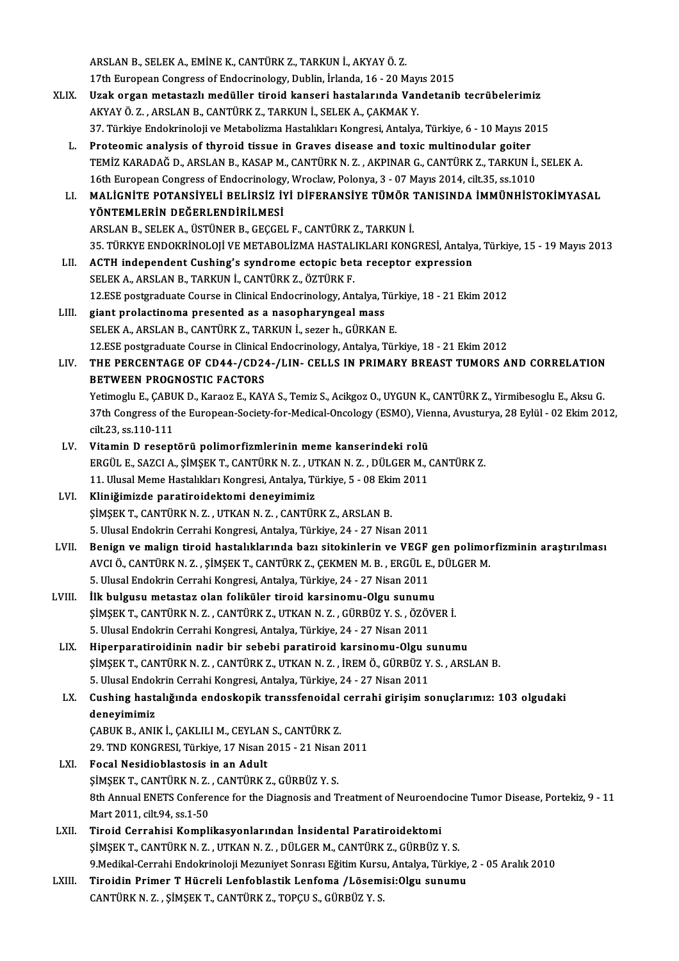ARSLANB.,SELEKA.,EMİNEK.,CANTÜRKZ.,TARKUNİ.,AKYAYÖ.Z. 17th European Congress of Endocrinology, Dublin, İrlanda, 16 - 20 Mayıs 2015 ARSLAN B., SELEK A., EMİNE K., CANTÜRK Z., TARKUN İ., AKYAY Ö. Z.<br>17th European Congress of Endocrinology, Dublin, İrlanda, 16 - 20 Mayıs 2015<br>XLIX. Uzak organ metastazlı medüller tiroid kanseri hastalarında Vandetanib tec 17th European Congress of Endocrinology, Dublin, İrlanda, 16 - 20 May<br>Uzak organ metastazlı medüller tiroid kanseri hastalarında Van<br>AKYAY Ö. Z. , ARSLAN B., CANTÜRK Z., TARKUN İ., SELEK A., ÇAKMAK Y.<br>27. Türkiye Endelmine 37. Türkiye Endokrinoloji ve Metabolizma Hastalıkları Kongresi, Antalya, Türkiye, 6 - 10 Mayıs 2015<br>37. Türkiye Endokrinoloji ve Metabolizma Hastalıkları Kongresi, Antalya, Türkiye, 6 - 10 Mayıs 2015 L. Proteomic analysis of thyroid tissue in Graves disease and toxicmultinodular goiter 37. Türkiye Endokrinoloji ve Metabolizma Hastalıkları Kongresi, Antalya, Türkiye, 6 - 10 Mayıs 2015<br>Proteomic analysis of thyroid tissue in Graves disease and toxic multinodular goiter<br>TEMİZ KARADAĞ D., ARSLAN B., KASAP M. Proteomic analysis of thyroid tissue in Graves disease and toxic multinodular goiter<br>TEMİZ KARADAĞ D., ARSLAN B., KASAP M., CANTÜRK N. Z. , AKPINAR G., CANTÜRK Z., TARKUN İ.,<br>16th European Congress of Endocrinology, Wrocla TEMİZ KARADAĞ D., ARSLAN B., KASAP M., CANTÜRK N. Z. , AKPINAR G., CANTÜRK Z., TARKUN İ., SELEK A.<br>16th European Congress of Endocrinology, Wroclaw, Polonya, 3 - 07 Mayıs 2014, cilt.35, ss.1010<br>1. MALİGNİTE POTANSİYELİ BEL 16th European Congress of Endocrinology, Wroclaw, Polonya, 3 - 07 Mayıs 2014, cilt.35, ss.1010<br>MALİGNİTE POTANSİYELİ BELİRSİZ İYİ DİFERANSİYE TÜMÖR TANISINDA İMMÜNHİSTOKİMYASAL<br>YÖNTEMLERİN DEĞERLENDİRİLMESİ ARSLANB.,SELEKA.,ÜSTÜNERB.,GEÇGEL F.,CANTÜRKZ.,TARKUNİ. YÖNTEMLERİN DEĞERLENDİRİLMESİ<br>ARSLAN B., SELEK A., ÜSTÜNER B., GEÇGEL F., CANTÜRK Z., TARKUN İ.<br>35. TÜRKYE ENDOKRİNOLOJİ VE METABOLİZMA HASTALIKLARI KONGRESİ, Antalya, Türkiye, 15 - 19 Mayıs 2013<br>ACTH independent Cushing'e ARSLAN B., SELEK A., ÜSTÜNER B., GEÇGEL F., CANTÜRK Z., TARKUN İ.<br>35. TÜRKYE ENDOKRİNOLOJİ VE METABOLİZMA HASTALIKLARI KONGRESİ, Antalya<br>LII. ACTH independent Cushing's syndrome ectopic beta receptor express ACTH independent Cushing's syndrome ectopic beta receptor expression<br>SELEK A., ARSLAN B., TARKUN İ., CANTÜRK Z., ÖZTÜRK F. ACTH independent Cushing's syndrome ectopic beta receptor expression<br>SELEK A., ARSLAN B., TARKUN İ., CANTÜRK Z., ÖZTÜRK F.<br>12.ESE postgraduate Course in Clinical Endocrinology, Antalya, Türkiye, 18 - 21 Ekim 2012<br>siant pre SELEK A., ARSLAN B., TARKUN İ., CANTÜRK Z., ÖZTÜRK F.<br>12.ESE postgraduate Course in Clinical Endocrinology, Antalya, T<br>LIII. giant prolactinoma presented as a nasopharyngeal mass<br>SELEK A. ARSLAN B. CANTÜRK Z. TARKUN İ. SSE 12.ESE postgraduate Course in Clinical Endocrinology, Antalya, Türgiant prolactinoma presented as a nasopharyngeal mass<br>SELEK A., ARSLAN B., CANTÜRK Z., TARKUN İ., sezer h., GÜRKAN E.<br>12.ESE postsraduate Course in Clinical giant prolactinoma presented as a nasopharyngeal mass<br>SELEK A., ARSLAN B., CANTÜRK Z., TARKUN İ., sezer h., GÜRKAN E.<br>12.ESE postgraduate Course in Clinical Endocrinology, Antalya, Türkiye, 18 - 21 Ekim 2012<br>THE RERGENTAGE SELEK A., ARSLAN B., CANTÜRK Z., TARKUN İ., sezer h., GÜRKAN E.<br>12.ESE postgraduate Course in Clinical Endocrinology, Antalya, Türkiye, 18 - 21 Ekim 2012<br>LIV. THE PERCENTAGE OF CD44-/CD24-/LIN- CELLS IN PRIMARY BREAST 12.ESE postgraduate Course in Clinical<br>THE PERCENTAGE OF CD44-/CD24<br>BETWEEN PROGNOSTIC FACTORS THE PERCENTAGE OF CD44-/CD24-/LIN- CELLS IN PRIMARY BREAST TUMORS AND CORRELATION<br>BETWEEN PROGNOSTIC FACTORS<br>Yetimoglu E., ÇABUK D., Karaoz E., KAYA S., Temiz S., Acikgoz O., UYGUN K., CANTÜRK Z., Yirmibesoglu E., Aksu G<br>2 BETWEEN PROGNOSTIC FACTORS<br>Yetimoglu E., ÇABUK D., Karaoz E., KAYA S., Temiz S., Acikgoz O., UYGUN K., CANTÜRK Z., Yirmibesoglu E., Aksu G.<br>37th Congress of the European-Society-for-Medical-Oncology (ESMO), Vienna, Avustur Yetimoglu E., CABUK D., Karaoz E., KAYA S., Temiz S., Acikgoz O., UYGUN K., CANTÜRK Z., Yirmibesoglu E., Aksu G. 37th Congress of the European-Society-for-Medical-Oncology (ESMO), Vie<br>cilt.23, ss.110-111<br>LV. Vitamin D reseptörü polimorfizmlerinin meme kanserindeki rolü<br>ERCÜLE SAZCLA SİMSEK T CANTÜRKN 7. UTKAN N.Z. DÜLCER M. ERGÜL E.,SAZCIA.,ŞİMŞEKT.,CANTÜRKN.Z. ,UTKANN.Z. ,DÜLGERM.,CANTÜRKZ. Vitamin D reseptörü polimorfizmlerinin meme kanserindeki rolü<br>ERGÜL E., SAZCI A., ŞİMŞEK T., CANTÜRK N. Z. , UTKAN N. Z. , DÜLGER M., (<br>11. Ulusal Meme Hastalıkları Kongresi, Antalya, Türkiye, 5 - 08 Ekim 2011<br>Kliniğimirde LVI. Kliniğimizde paratiroidektomi deneyimimiz 11. Ulusal Meme Hastalıkları Kongresi, Antalya, Türkiye, 5 - 08 Ekim 2011 5.UlusalEndokrinCerrahiKongresi,Antalya,Türkiye,24 -27Nisan2011 SİMŞEK T., CANTÜRK N. Z. , UTKAN N. Z. , CANTÜRK Z., ARSLAN B.<br>5. Ulusal Endokrin Cerrahi Kongresi, Antalya, Türkiye, 24 - 27 Nisan 2011<br>1991. – Benign ve malign tiroid hastalıklarında bazı sitokinlerin ve VEGF gen polimor 5. Ulusal Endokrin Cerrahi Kongresi, Antalya, Türkiye, 24 - 27 Nisan 2011<br>Benign ve malign tiroid hastalıklarında bazı sitokinlerin ve VEGF gen polimol<br>AVCI Ö., CANTÜRK N. Z. , ŞİMŞEK T., CANTÜRK Z., ÇEKMEN M. B. , ERGÜL E Benign ve malign tiroid hastalıklarında bazı sitokinlerin ve VEGF<br>AVCI Ö., CANTÜRK N. Z. , ŞİMŞEK T., CANTÜRK Z., ÇEKMEN M. B. , ERGÜL E.<br>5. Ulusal Endokrin Cerrahi Kongresi, Antalya, Türkiye, 24 - 27 Nisan 2011<br><sup>İlk</sup> bulg AVCI Ö., CANTÜRK N. Z., ŞİMŞEK T., CANTÜRK Z., ÇEKMEN M. B., ERGÜL E.,<br>5. Ulusal Endokrin Cerrahi Kongresi, Antalya, Türkiye, 24 - 27 Nisan 2011<br>LVIII. İlk bulgusu metastaz olan foliküler tiroid karsinomu-Olgu sunumu<br>simen 5. Ulusal Endokrin Cerrahi Kongresi, Antalya, Türkiye, 24 - 27 Nisan 2011<br>İlk bulgusu metastaz olan foliküler tiroid karsinomu-Olgu sunumu<br>ŞİMŞEK T., CANTÜRK N. Z. , CANTÜRK Z., UTKAN N. Z. , GÜRBÜZ Y. S. , ÖZÖVER İ.<br>E. Ul İlk bulgusu metastaz olan foliküler tiroid karsinomu-Olgu sunumu<br>ŞİMŞEK T., CANTÜRK N. Z. , CANTÜRK Z., UTKAN N. Z. , GÜRBÜZ Y. S. , ÖZÖN<br>5. Ulusal Endokrin Cerrahi Kongresi, Antalya, Türkiye, 24 - 27 Nisan 2011<br>Hinernarat SIMŞEK T., CANTÜRK N. Z. , CANTÜRK Z., UTKAN N. Z. , GÜRBÜZ Y. S. , ÖZÖVER İ.<br>5. Ulusal Endokrin Cerrahi Kongresi, Antalya, Türkiye, 24 - 27 Nisan 2011<br>LIX. Hiperparatiroidinin nadir bir sebebi paratiroid karsinomu-Olg ŞİMŞEKT.,CANTÜRKN.Z. ,CANTÜRKZ.,UTKANN.Z. , İREMÖ.,GÜRBÜZ Y.S. ,ARSLANB. Hiperparatiroidinin nadir bir sebebi paratiroid karsinomu-Olgu s<br>ŞİMŞEK T., CANTÜRK N. Z. , CANTÜRK Z., UTKAN N. Z. , İREM Ö., GÜRBÜZ Y.<br>5. Ulusal Endokrin Cerrahi Kongresi, Antalya, Türkiye, 24 - 27 Nisan 2011<br>Cushing has LX. Cushing hastalığında endoskopik transsfenoidal cerrahi girişim sonuçlarımız: 103 olgudaki deneyimimiz 5. Ulusal Endol<br>Cushing hast:<br>deneyimimiz<br>CAPUV P. ANU ÇABUKB.,ANIKİ.,ÇAKLILIM.,CEYLANS.,CANTÜRKZ. 29.TNDKONGRESI,Türkiye,17Nisan2015 -21Nisan2011 LXI. Focal Nesidioblastosis in an Adult 29. TND KONGRESI, Türkiye, 17 Nisan 2015 - 21 Nisan<br>Focal Nesidioblastosis in an Adult<br>ŞİMŞEK T., CANTÜRK N. Z. , CANTÜRK Z., GÜRBÜZ Y. S.<br><sup>9th Annual ENETS Conference for the Diagnesis and T</sub></sup> 8th Annual ENETS Conference for the Diagnosis and Treatment of Neuroendocine Tumor Disease, Portekiz, 9 - 11<br>Mart 2011. cilt 94. ss.1-50 ŞİMŞEK T., CANTÜRK N. Z.<br>8th Annual ENETS Confere<br>Mart 2011, cilt.94, ss.1-50<br>Tinoid Conrobisi Kompli LXII. Tiroid Cerrahisi Komplikasyonlarından İnsidental Paratiroidektomi Mart 2011, cilt.94, ss.1-50<br>Tiroid Cerrahisi Komplikasyonlarından İnsidental Paratiroidektomi<br>ŞİMŞEK T., CANTÜRK N. Z. , UTKAN N. Z. , DÜLGER M., CANTÜRK Z., GÜRBÜZ Y. S.<br>9 Medikal Cerrahi Endelmineleji Meruniyat Senrası F 9.Medikal-Cerrahi Endokrinoloji Mezuniyet Sonrası Eğitim Kursu, Antalya, Türkiye, 2 - 05 Aralık 2010 SİMŞEK T., CANTÜRK N. Z. , UTKAN N. Z. , DÜLGER M., CANTÜRK Z., GÜRBÜZ Y. S.<br>9.Medikal-Cerrahi Endokrinoloji Mezuniyet Sonrası Eğitim Kursu, Antalya, Türkiye,<br>1. Tiroidin Primer T Hücreli Lenfoblastik Lenfoma /Lösemisi:Olg Tiroidin Primer T Hücreli Lenfoblastik Lenfoma /Lösemisi:Olgu sunumu CANTÜRK N.Z., ŞİMŞEK T., CANTÜRK Z., TOPÇU S., GÜRBÜZ Y.S.